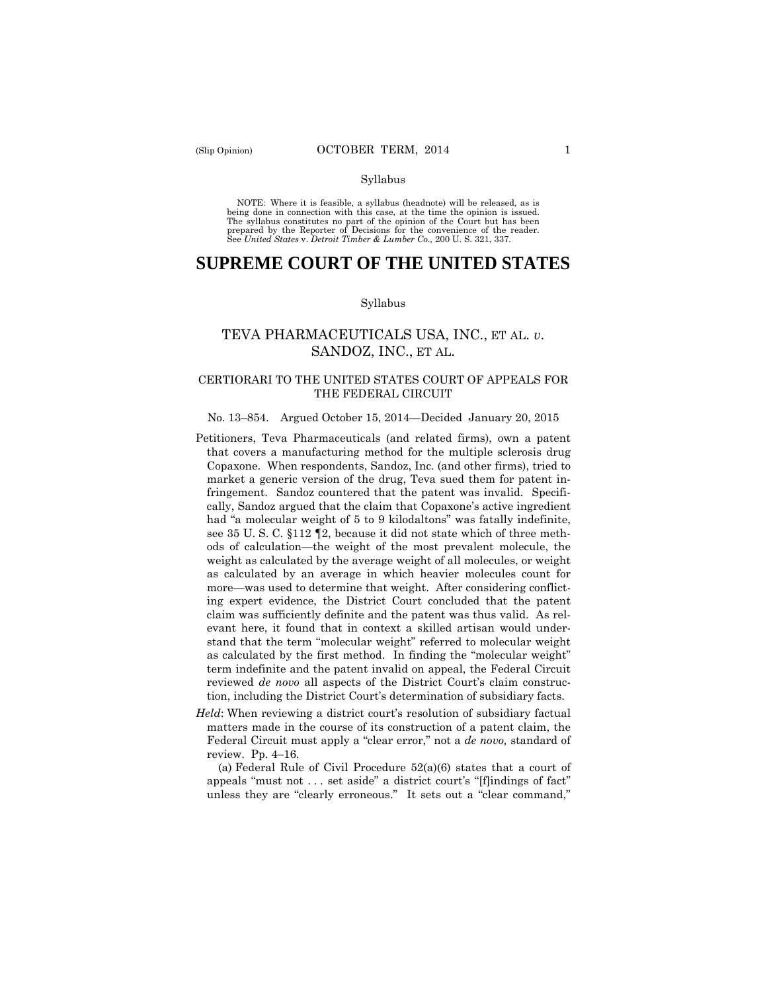NOTE: Where it is feasible, a syllabus (headnote) will be released, as is being done in connection with this case, at the time the opinion is issued. The syllabus constitutes no part of the opinion of the Court but has been<br>prepared by the Reporter of Decisions for the convenience of the reader.<br>See United States v. Detroit Timber & Lumber Co., 200 U. S. 321, 337.

# **SUPREME COURT OF THE UNITED STATES**

#### Syllabus

# TEVA PHARMACEUTICALS USA, INC., ET AL. *v*. SANDOZ, INC., ET AL.

### CERTIORARI TO THE UNITED STATES COURT OF APPEALS FOR THE FEDERAL CIRCUIT

#### No. 13–854. Argued October 15, 2014—Decided January 20, 2015

- Petitioners, Teva Pharmaceuticals (and related firms), own a patent that covers a manufacturing method for the multiple sclerosis drug Copaxone. When respondents, Sandoz, Inc. (and other firms), tried to market a generic version of the drug, Teva sued them for patent infringement. Sandoz countered that the patent was invalid. Specifically, Sandoz argued that the claim that Copaxone's active ingredient had "a molecular weight of 5 to 9 kilodaltons" was fatally indefinite, see 35 U. S. C. §112 ¶2, because it did not state which of three methods of calculation—the weight of the most prevalent molecule, the weight as calculated by the average weight of all molecules, or weight as calculated by an average in which heavier molecules count for more—was used to determine that weight. After considering conflicting expert evidence, the District Court concluded that the patent claim was sufficiently definite and the patent was thus valid. As relevant here, it found that in context a skilled artisan would understand that the term "molecular weight" referred to molecular weight as calculated by the first method. In finding the "molecular weight" term indefinite and the patent invalid on appeal, the Federal Circuit reviewed *de novo* all aspects of the District Court's claim construction, including the District Court's determination of subsidiary facts.
- Federal Circuit must apply a "clear error," not a *de novo,* standard of *Held*: When reviewing a district court's resolution of subsidiary factual matters made in the course of its construction of a patent claim, the review. Pp. 4–16.

(a) Federal Rule of Civil Procedure 52(a)(6) states that a court of appeals "must not . . . set aside" a district court's "[f]indings of fact" unless they are "clearly erroneous." It sets out a "clear command,"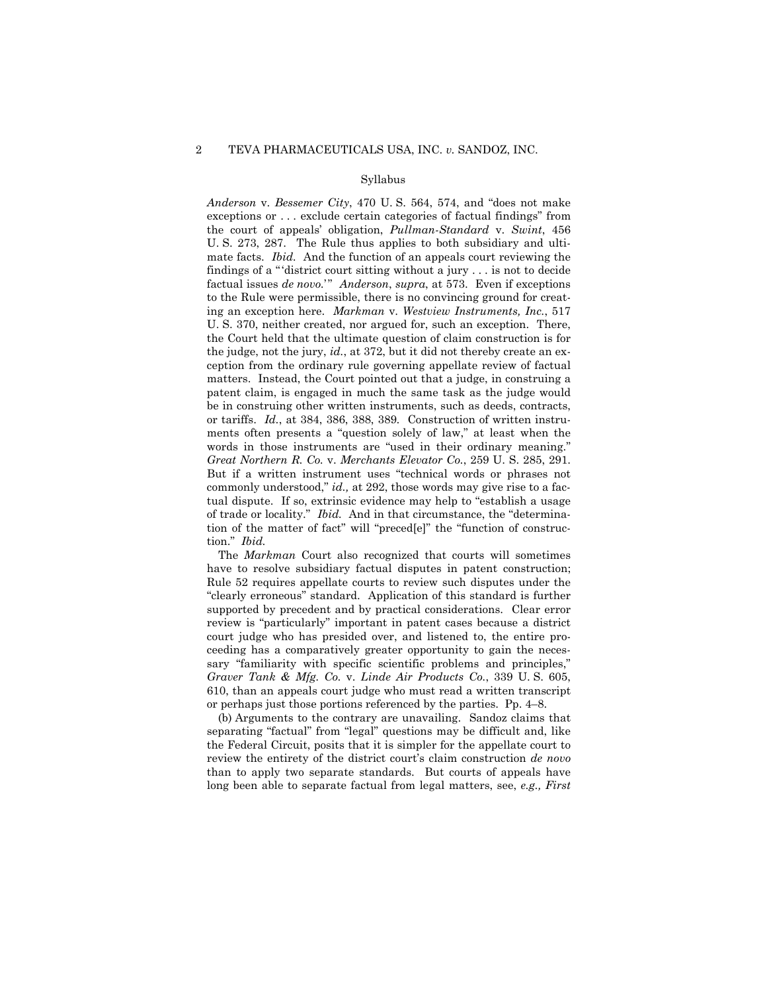of trade or locality." *Ibid.* And in that circumstance, the "determina-*Anderson* v. *Bessemer City*, 470 U. S. 564, 574, and "does not make exceptions or . . . exclude certain categories of factual findings" from the court of appeals' obligation, *Pullman-Standard* v. *Swint*, 456 U. S. 273, 287. The Rule thus applies to both subsidiary and ultimate facts. *Ibid.* And the function of an appeals court reviewing the findings of a " 'district court sitting without a jury . . . is not to decide factual issues *de novo.*'" *Anderson*, *supra*, at 573. Even if exceptions to the Rule were permissible, there is no convincing ground for creating an exception here. *Markman* v. *Westview Instruments, Inc.*, 517 U. S. 370, neither created, nor argued for, such an exception. There, the Court held that the ultimate question of claim construction is for the judge, not the jury, *id.*, at 372, but it did not thereby create an exception from the ordinary rule governing appellate review of factual matters. Instead, the Court pointed out that a judge, in construing a patent claim, is engaged in much the same task as the judge would be in construing other written instruments, such as deeds, contracts, or tariffs. *Id.*, at 384, 386, 388, 389*.* Construction of written instruments often presents a "question solely of law," at least when the words in those instruments are "used in their ordinary meaning." *Great Northern R. Co.* v. *Merchants Elevator Co.*, 259 U. S. 285, 291. But if a written instrument uses "technical words or phrases not commonly understood," *id.,* at 292, those words may give rise to a factual dispute. If so, extrinsic evidence may help to "establish a usage tion of the matter of fact" will "preced[e]" the "function of construction." *Ibid.* 

 have to resolve subsidiary factual disputes in patent construction; The *Markman* Court also recognized that courts will sometimes Rule 52 requires appellate courts to review such disputes under the "clearly erroneous" standard. Application of this standard is further supported by precedent and by practical considerations. Clear error review is "particularly" important in patent cases because a district court judge who has presided over, and listened to, the entire proceeding has a comparatively greater opportunity to gain the necessary "familiarity with specific scientific problems and principles," *Graver Tank & Mfg. Co.* v. *Linde Air Products Co.*, 339 U. S. 605, 610, than an appeals court judge who must read a written transcript or perhaps just those portions referenced by the parties. Pp. 4–8.

(b) Arguments to the contrary are unavailing. Sandoz claims that separating "factual" from "legal" questions may be difficult and, like the Federal Circuit, posits that it is simpler for the appellate court to review the entirety of the district court's claim construction *de novo*  than to apply two separate standards. But courts of appeals have long been able to separate factual from legal matters, see, *e.g., First*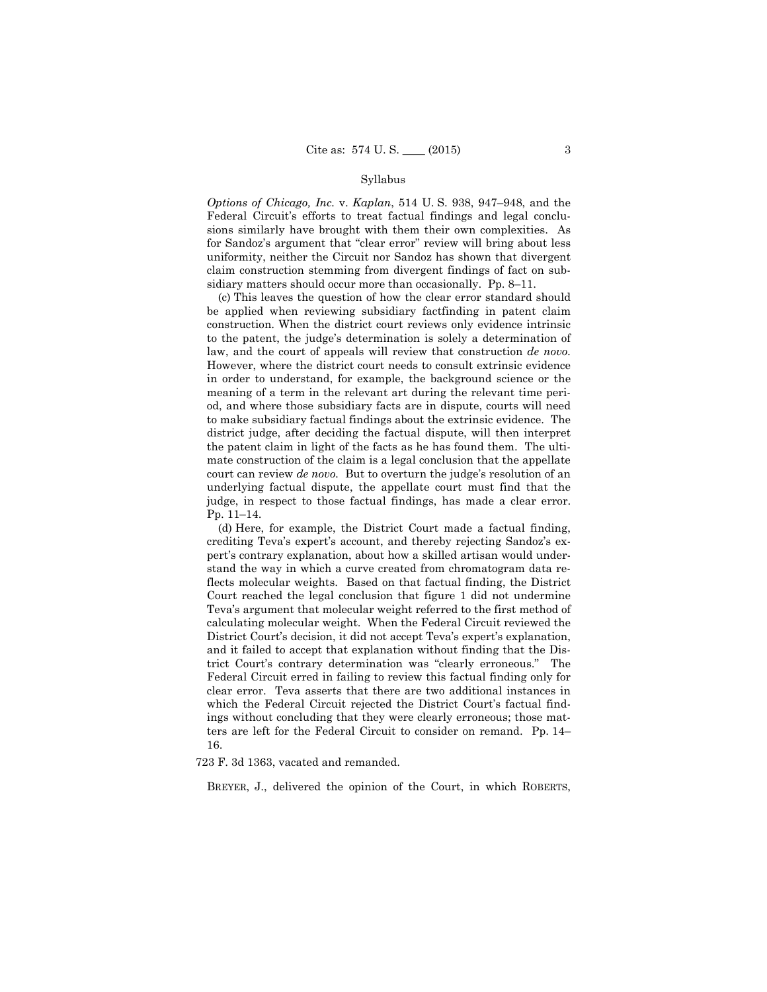Federal Circuit's efforts to treat factual findings and legal conclu-*Options of Chicago, Inc.* v. *Kaplan*, 514 U. S. 938, 947–948, and the sions similarly have brought with them their own complexities. As for Sandoz's argument that "clear error" review will bring about less uniformity, neither the Circuit nor Sandoz has shown that divergent claim construction stemming from divergent findings of fact on subsidiary matters should occur more than occasionally. Pp. 8–11.

(c) This leaves the question of how the clear error standard should be applied when reviewing subsidiary factfinding in patent claim construction. When the district court reviews only evidence intrinsic to the patent, the judge's determination is solely a determination of law, and the court of appeals will review that construction *de novo.* However, where the district court needs to consult extrinsic evidence in order to understand, for example, the background science or the meaning of a term in the relevant art during the relevant time period, and where those subsidiary facts are in dispute, courts will need to make subsidiary factual findings about the extrinsic evidence. The district judge, after deciding the factual dispute, will then interpret the patent claim in light of the facts as he has found them. The ultimate construction of the claim is a legal conclusion that the appellate court can review *de novo.* But to overturn the judge's resolution of an underlying factual dispute, the appellate court must find that the judge, in respect to those factual findings, has made a clear error. Pp. 11–14.

(d) Here, for example, the District Court made a factual finding, crediting Teva's expert's account, and thereby rejecting Sandoz's expert's contrary explanation, about how a skilled artisan would understand the way in which a curve created from chromatogram data reflects molecular weights. Based on that factual finding, the District Court reached the legal conclusion that figure 1 did not undermine Teva's argument that molecular weight referred to the first method of calculating molecular weight. When the Federal Circuit reviewed the District Court's decision, it did not accept Teva's expert's explanation, and it failed to accept that explanation without finding that the District Court's contrary determination was "clearly erroneous." The Federal Circuit erred in failing to review this factual finding only for clear error. Teva asserts that there are two additional instances in which the Federal Circuit rejected the District Court's factual findings without concluding that they were clearly erroneous; those matters are left for the Federal Circuit to consider on remand. Pp. 14– 16.

723 F. 3d 1363, vacated and remanded.

BREYER, J., delivered the opinion of the Court, in which ROBERTS,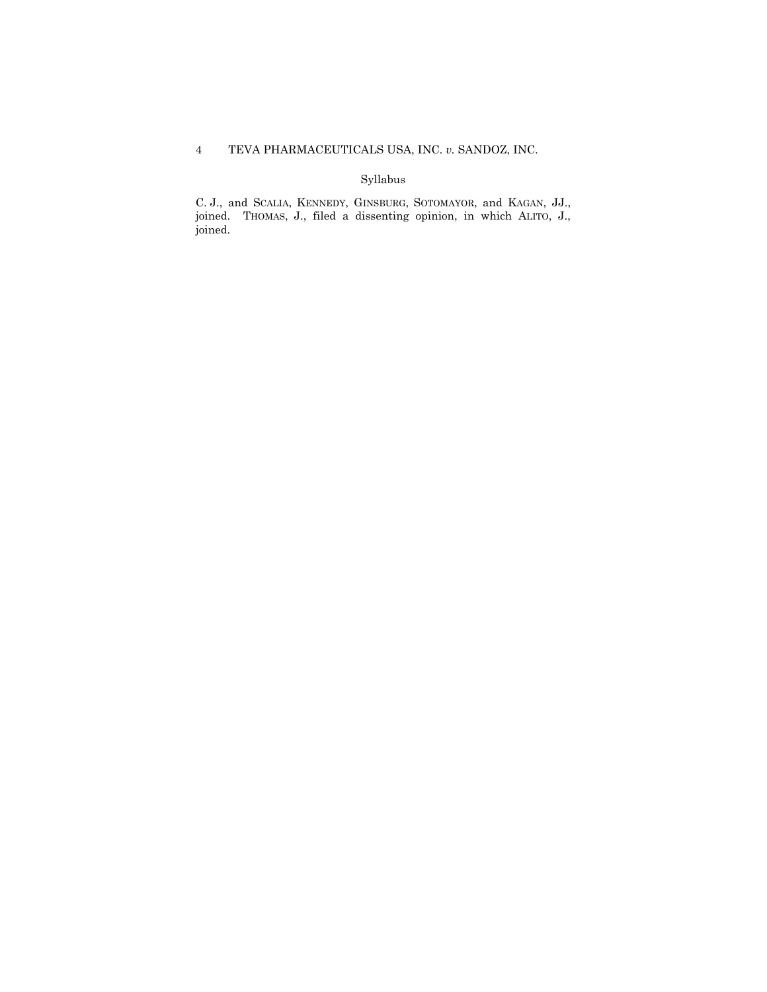C. J., and SCALIA, KENNEDY, GINSBURG, SOTOMAYOR, and KAGAN, JJ., joined. THOMAS, J., filed a dissenting opinion, in which ALITO, J., joined.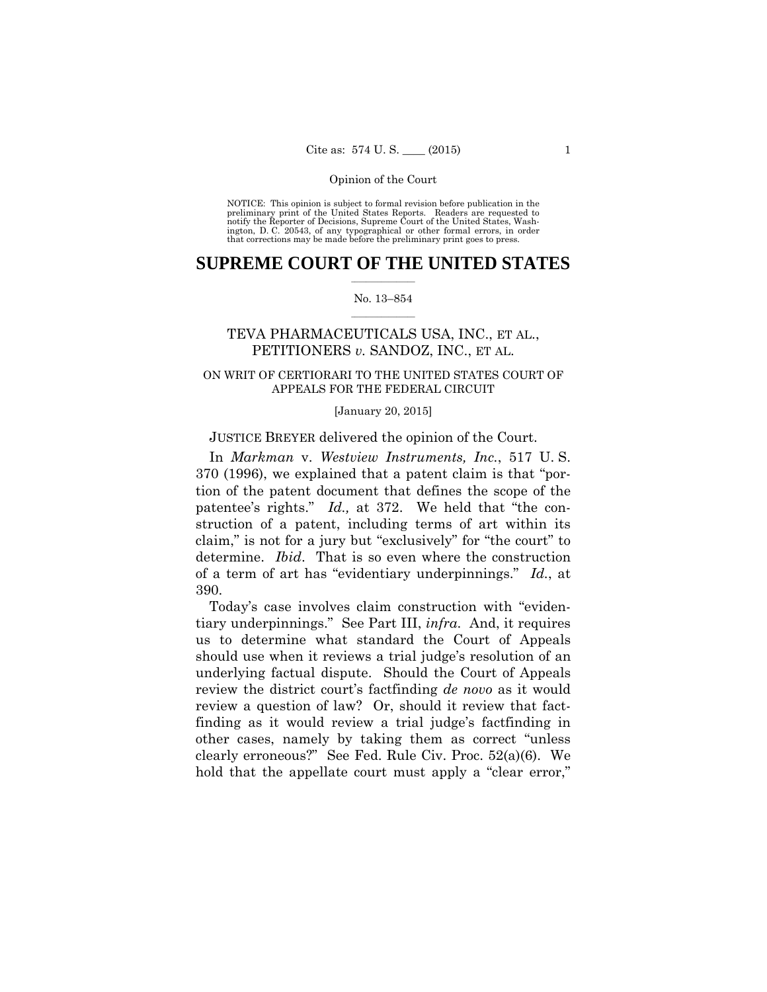preliminary print of the United States Reports. Readers are requested to notify the Reporter of Decisions, Supreme Court of the United States, Wash- ington, D. C. 20543, of any typographical or other formal errors, in order that corrections may be made before the preliminary print goes to press. NOTICE: This opinion is subject to formal revision before publication in the

### $\frac{1}{2}$  , where  $\frac{1}{2}$ **SUPREME COURT OF THE UNITED STATES**

#### $\frac{1}{2}$  ,  $\frac{1}{2}$  ,  $\frac{1}{2}$  ,  $\frac{1}{2}$  ,  $\frac{1}{2}$  ,  $\frac{1}{2}$ No. 13–854

# TEVA PHARMACEUTICALS USA, INC., ET AL., PETITIONERS *v.* SANDOZ, INC., ET AL.

### ON WRIT OF CERTIORARI TO THE UNITED STATES COURT OF APPEALS FOR THE FEDERAL CIRCUIT

#### [January 20, 2015]

### JUSTICE BREYER delivered the opinion of the Court.

In *Markman* v. *Westview Instruments, Inc.*, 517 U. S. 370 (1996), we explained that a patent claim is that "portion of the patent document that defines the scope of the patentee's rights." *Id.,* at 372. We held that "the construction of a patent, including terms of art within its claim," is not for a jury but "exclusively" for "the court" to determine. *Ibid*. That is so even where the construction of a term of art has "evidentiary underpinnings." *Id.*, at 390.

Today's case involves claim construction with "evidentiary underpinnings." See Part III, *infra*. And, it requires us to determine what standard the Court of Appeals should use when it reviews a trial judge's resolution of an underlying factual dispute. Should the Court of Appeals review the district court's factfinding *de novo* as it would review a question of law? Or, should it review that factfinding as it would review a trial judge's factfinding in other cases, namely by taking them as correct "unless clearly erroneous?" See Fed. Rule Civ. Proc. 52(a)(6). We hold that the appellate court must apply a "clear error,"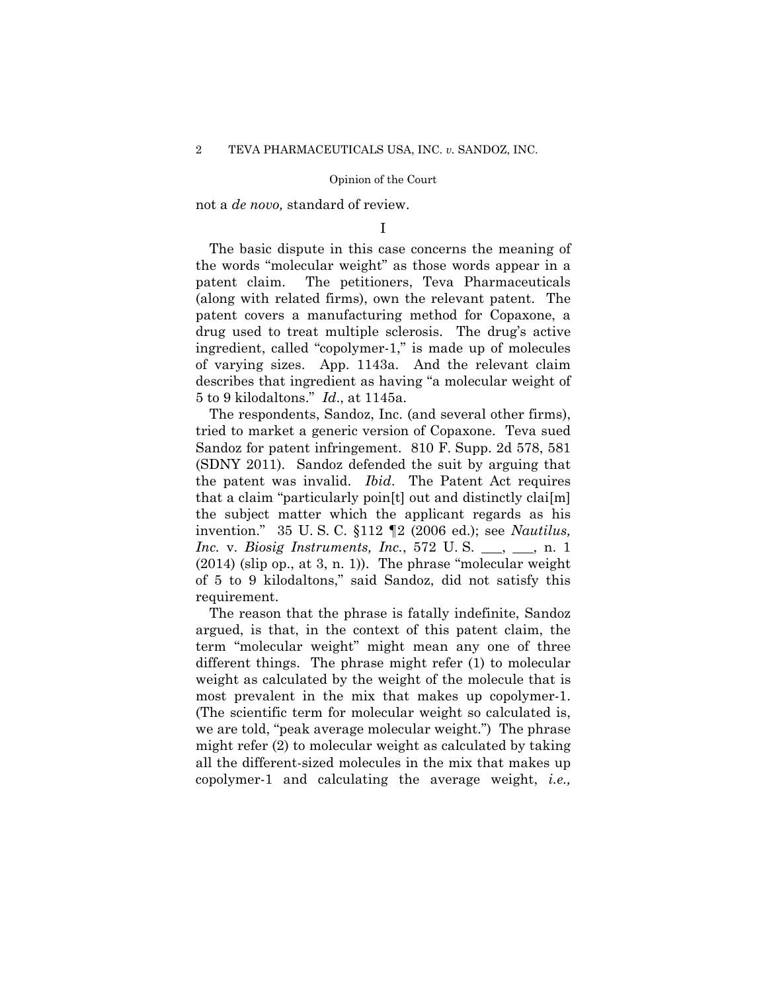not a *de novo,* standard of review.

#### I

 the words "molecular weight" as those words appear in a of varying sizes. App. 1143a. And the relevant claim The basic dispute in this case concerns the meaning of patent claim. The petitioners, Teva Pharmaceuticals (along with related firms), own the relevant patent. The patent covers a manufacturing method for Copaxone, a drug used to treat multiple sclerosis. The drug's active ingredient, called "copolymer-1," is made up of molecules describes that ingredient as having "a molecular weight of 5 to 9 kilodaltons." *Id*., at 1145a.

The respondents, Sandoz, Inc. (and several other firms), tried to market a generic version of Copaxone. Teva sued Sandoz for patent infringement. 810 F. Supp. 2d 578, 581 (SDNY 2011). Sandoz defended the suit by arguing that the patent was invalid. *Ibid*. The Patent Act requires that a claim "particularly poin[t] out and distinctly clai[m] the subject matter which the applicant regards as his invention." 35 U. S. C. §112 ¶2 (2006 ed.); see *Nautilus, Inc.* v. *Biosig Instruments, Inc.*, 572 U. S. \_\_, \_\_, n. 1 (2014) (slip op., at 3, n. 1)). The phrase "molecular weight of 5 to 9 kilodaltons," said Sandoz, did not satisfy this requirement.

The reason that the phrase is fatally indefinite, Sandoz argued, is that, in the context of this patent claim, the term "molecular weight" might mean any one of three different things. The phrase might refer (1) to molecular weight as calculated by the weight of the molecule that is most prevalent in the mix that makes up copolymer-1. (The scientific term for molecular weight so calculated is, we are told, "peak average molecular weight.") The phrase might refer (2) to molecular weight as calculated by taking all the different-sized molecules in the mix that makes up copolymer-1 and calculating the average weight, *i.e.,*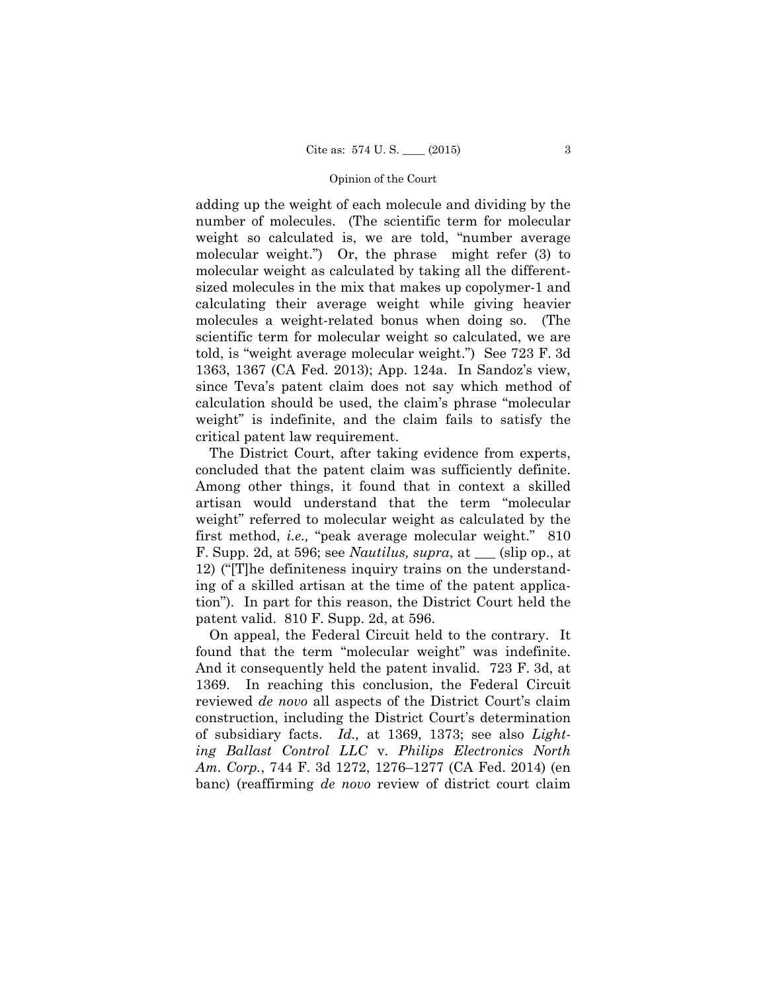adding up the weight of each molecule and dividing by the number of molecules. (The scientific term for molecular weight so calculated is, we are told, "number average molecular weight.") Or, the phrase might refer (3) to molecular weight as calculated by taking all the differentsized molecules in the mix that makes up copolymer-1 and calculating their average weight while giving heavier molecules a weight-related bonus when doing so. (The scientific term for molecular weight so calculated, we are told, is "weight average molecular weight.") See 723 F. 3d 1363, 1367 (CA Fed. 2013); App. 124a. In Sandoz's view, since Teva's patent claim does not say which method of calculation should be used, the claim's phrase "molecular weight" is indefinite, and the claim fails to satisfy the critical patent law requirement.

The District Court, after taking evidence from experts, concluded that the patent claim was sufficiently definite. Among other things, it found that in context a skilled artisan would understand that the term "molecular weight" referred to molecular weight as calculated by the first method, *i.e.,* "peak average molecular weight." 810 F. Supp. 2d, at 596; see *Nautilus, supra*, at \_\_\_ (slip op., at 12) ("[T]he definiteness inquiry trains on the understanding of a skilled artisan at the time of the patent application"). In part for this reason, the District Court held the patent valid. 810 F. Supp. 2d, at 596.

On appeal, the Federal Circuit held to the contrary. It found that the term "molecular weight" was indefinite. And it consequently held the patent invalid. 723 F. 3d, at 1369. In reaching this conclusion, the Federal Circuit reviewed *de novo* all aspects of the District Court's claim construction, including the District Court's determination of subsidiary facts. *Id.,* at 1369, 1373; see also *Lighting Ballast Control LLC* v. *Philips Electronics North Am. Corp.*, 744 F. 3d 1272, 1276–1277 (CA Fed. 2014) (en banc) (reaffirming *de novo* review of district court claim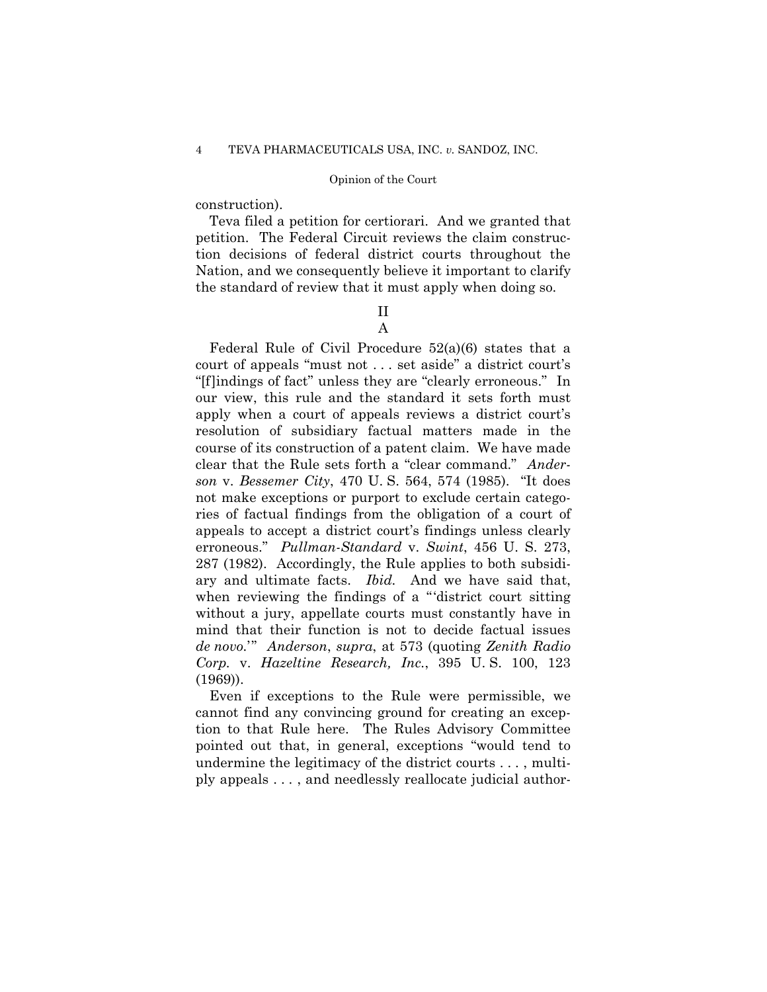construction).

Teva filed a petition for certiorari. And we granted that petition. The Federal Circuit reviews the claim construction decisions of federal district courts throughout the Nation, and we consequently believe it important to clarify the standard of review that it must apply when doing so.

### II A

 erroneous." *Pullman-Standard* v. *Swint*, 456 U. S. 273, Federal Rule of Civil Procedure 52(a)(6) states that a court of appeals "must not . . . set aside" a district court's "[f]indings of fact" unless they are "clearly erroneous." In our view, this rule and the standard it sets forth must apply when a court of appeals reviews a district court's resolution of subsidiary factual matters made in the course of its construction of a patent claim. We have made clear that the Rule sets forth a "clear command." *Anderson* v. *Bessemer City*, 470 U. S. 564, 574 (1985). "It does not make exceptions or purport to exclude certain categories of factual findings from the obligation of a court of appeals to accept a district court's findings unless clearly 287 (1982). Accordingly, the Rule applies to both subsidiary and ultimate facts. *Ibid.* And we have said that, when reviewing the findings of a "'district court sitting without a jury, appellate courts must constantly have in mind that their function is not to decide factual issues *de novo.*'" *Anderson*, *supra*, at 573 (quoting *Zenith Radio Corp.* v. *Hazeltine Research, Inc.*, 395 U. S. 100, 123 (1969)).

Even if exceptions to the Rule were permissible, we cannot find any convincing ground for creating an exception to that Rule here. The Rules Advisory Committee pointed out that, in general, exceptions "would tend to undermine the legitimacy of the district courts . . . , multiply appeals . . . , and needlessly reallocate judicial author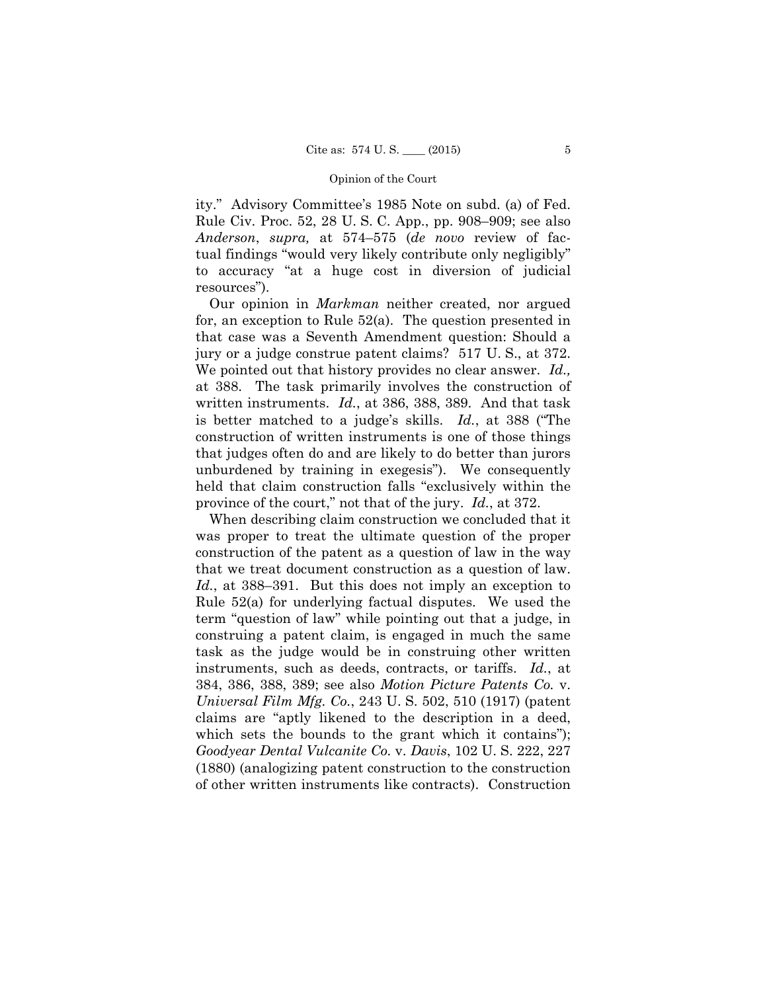ity." Advisory Committee's 1985 Note on subd. (a) of Fed. Rule Civ. Proc. 52, 28 U. S. C. App., pp. 908–909; see also *Anderson*, *supra,* at 574–575 (*de novo* review of factual findings "would very likely contribute only negligibly" to accuracy "at a huge cost in diversion of judicial resources").

 written instruments. *Id.*, at 386, 388, 389. And that task Our opinion in *Markman* neither created, nor argued for, an exception to Rule 52(a). The question presented in that case was a Seventh Amendment question: Should a jury or a judge construe patent claims? 517 U. S., at 372. We pointed out that history provides no clear answer. *Id.,*  at 388. The task primarily involves the construction of is better matched to a judge's skills. *Id.*, at 388 ("The construction of written instruments is one of those things that judges often do and are likely to do better than jurors unburdened by training in exegesis"). We consequently held that claim construction falls "exclusively within the province of the court," not that of the jury. *Id.*, at 372.

 of other written instruments like contracts). Construction When describing claim construction we concluded that it was proper to treat the ultimate question of the proper construction of the patent as a question of law in the way that we treat document construction as a question of law. *Id.*, at 388–391. But this does not imply an exception to Rule 52(a) for underlying factual disputes. We used the term "question of law" while pointing out that a judge, in construing a patent claim, is engaged in much the same task as the judge would be in construing other written instruments, such as deeds, contracts, or tariffs. *Id.*, at 384, 386, 388, 389; see also *Motion Picture Patents Co.* v. *Universal Film Mfg. Co.*, 243 U. S. 502, 510 (1917) (patent claims are "aptly likened to the description in a deed, which sets the bounds to the grant which it contains"); *Goodyear Dental Vulcanite Co.* v. *Davis*, 102 U. S. 222, 227 (1880) (analogizing patent construction to the construction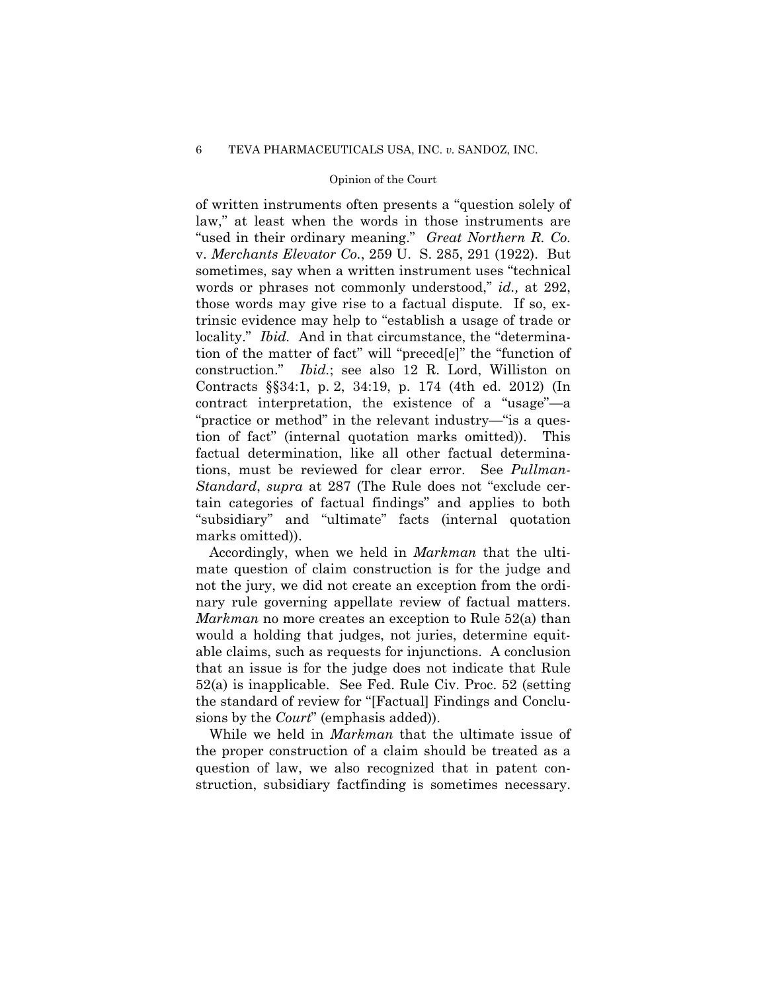"used in their ordinary meaning." *Great Northern R. Co.*  of written instruments often presents a "question solely of law," at least when the words in those instruments are v. *Merchants Elevator Co.*, 259 U. S. 285, 291 (1922). But sometimes, say when a written instrument uses "technical words or phrases not commonly understood," *id.,* at 292, those words may give rise to a factual dispute. If so, extrinsic evidence may help to "establish a usage of trade or locality." *Ibid.* And in that circumstance, the "determination of the matter of fact" will "preced[e]" the "function of construction." *Ibid.*; see also 12 R. Lord, Williston on Contracts §§34:1, p. 2, 34:19, p. 174 (4th ed. 2012) (In contract interpretation, the existence of a "usage"—a "practice or method" in the relevant industry—"is a question of fact" (internal quotation marks omitted)). This factual determination, like all other factual determinations, must be reviewed for clear error. See *Pullman-Standard*, *supra* at 287 (The Rule does not "exclude certain categories of factual findings" and applies to both "subsidiary" and "ultimate" facts (internal quotation marks omitted)).

Accordingly, when we held in *Markman* that the ultimate question of claim construction is for the judge and not the jury, we did not create an exception from the ordinary rule governing appellate review of factual matters. *Markman* no more creates an exception to Rule 52(a) than would a holding that judges, not juries, determine equitable claims, such as requests for injunctions. A conclusion that an issue is for the judge does not indicate that Rule 52(a) is inapplicable. See Fed. Rule Civ. Proc. 52 (setting the standard of review for "[Factual] Findings and Conclusions by the *Court*" (emphasis added)).

 struction, subsidiary factfinding is sometimes necessary. While we held in *Markman* that the ultimate issue of the proper construction of a claim should be treated as a question of law, we also recognized that in patent con-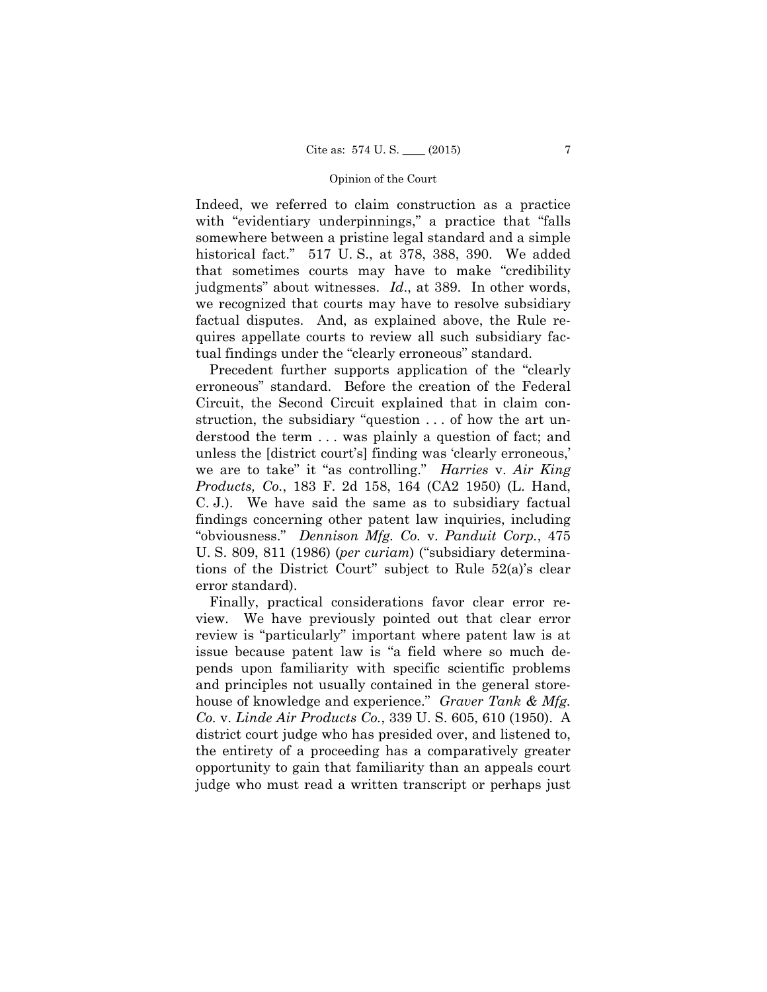judgments" about witnesses. *Id*., at 389. In other words, Indeed, we referred to claim construction as a practice with "evidentiary underpinnings," a practice that "falls" somewhere between a pristine legal standard and a simple historical fact." 517 U. S., at 378, 388, 390. We added that sometimes courts may have to make "credibility we recognized that courts may have to resolve subsidiary factual disputes. And, as explained above, the Rule requires appellate courts to review all such subsidiary factual findings under the "clearly erroneous" standard.

Precedent further supports application of the "clearly erroneous" standard. Before the creation of the Federal Circuit, the Second Circuit explained that in claim construction, the subsidiary "question . . . of how the art understood the term . . . was plainly a question of fact; and unless the [district court's] finding was 'clearly erroneous,' we are to take" it "as controlling." *Harries* v. *Air King Products, Co.*, 183 F. 2d 158, 164 (CA2 1950) (L. Hand, C. J.). We have said the same as to subsidiary factual findings concerning other patent law inquiries, including "obviousness." *Dennison Mfg. Co.* v. *Panduit Corp.*, 475 U. S. 809, 811 (1986) (*per curiam*) ("subsidiary determinations of the District Court" subject to Rule 52(a)'s clear error standard).

Finally, practical considerations favor clear error review. We have previously pointed out that clear error review is "particularly" important where patent law is at issue because patent law is "a field where so much depends upon familiarity with specific scientific problems and principles not usually contained in the general storehouse of knowledge and experience." *Graver Tank & Mfg. Co.* v. *Linde Air Products Co.*, 339 U. S. 605, 610 (1950). A district court judge who has presided over, and listened to, the entirety of a proceeding has a comparatively greater opportunity to gain that familiarity than an appeals court judge who must read a written transcript or perhaps just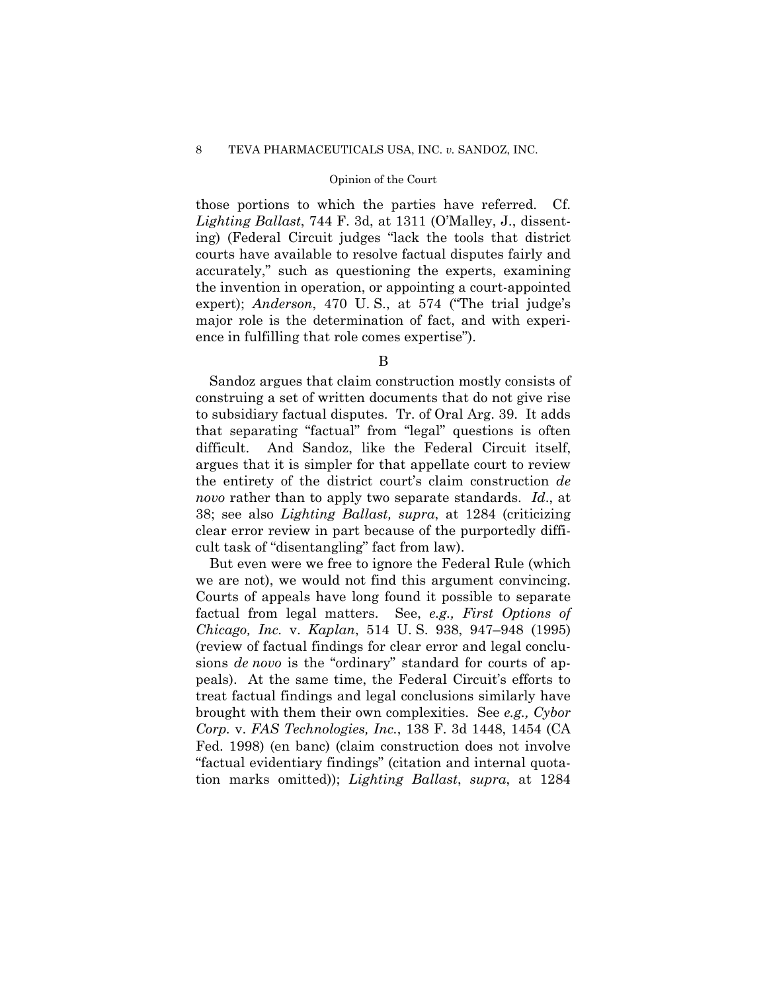those portions to which the parties have referred. Cf. *Lighting Ballast*, 744 F. 3d, at 1311 (O'Malley, J., dissenting) (Federal Circuit judges "lack the tools that district courts have available to resolve factual disputes fairly and accurately," such as questioning the experts, examining the invention in operation, or appointing a court-appointed expert); *Anderson*, 470 U. S., at 574 ("The trial judge's major role is the determination of fact, and with experience in fulfilling that role comes expertise").

B

Sandoz argues that claim construction mostly consists of construing a set of written documents that do not give rise to subsidiary factual disputes. Tr. of Oral Arg. 39. It adds that separating "factual" from "legal" questions is often difficult. And Sandoz, like the Federal Circuit itself, argues that it is simpler for that appellate court to review the entirety of the district court's claim construction *de novo* rather than to apply two separate standards. *Id*., at 38; see also *Lighting Ballast, supra*, at 1284 (criticizing clear error review in part because of the purportedly difficult task of "disentangling" fact from law).

But even were we free to ignore the Federal Rule (which we are not), we would not find this argument convincing. Courts of appeals have long found it possible to separate factual from legal matters. See, *e.g., First Options of Chicago, Inc.* v. *Kaplan*, 514 U. S. 938, 947–948 (1995) (review of factual findings for clear error and legal conclusions *de novo* is the "ordinary" standard for courts of appeals). At the same time, the Federal Circuit's efforts to treat factual findings and legal conclusions similarly have brought with them their own complexities. See *e.g., Cybor Corp.* v. *FAS Technologies, Inc.*, 138 F. 3d 1448, 1454 (CA Fed. 1998) (en banc) (claim construction does not involve "factual evidentiary findings" (citation and internal quotation marks omitted)); *Lighting Ballast*, *supra*, at 1284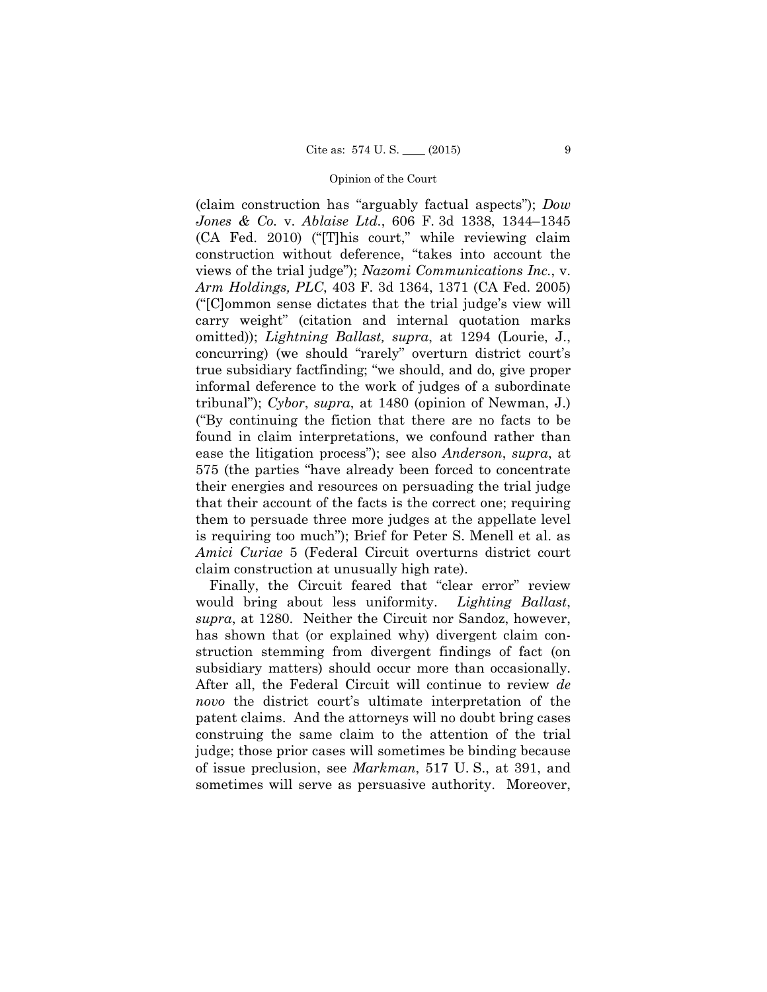(claim construction has "arguably factual aspects"); *Dow Jones & Co.* v. *Ablaise Ltd.*, 606 F. 3d 1338, 1344–1345 (CA Fed. 2010) ("[T]his court," while reviewing claim construction without deference, "takes into account the views of the trial judge"); *Nazomi Communications Inc.*, v. *Arm Holdings, PLC*, 403 F. 3d 1364, 1371 (CA Fed. 2005) ("[C]ommon sense dictates that the trial judge's view will carry weight" (citation and internal quotation marks omitted)); *Lightning Ballast, supra*, at 1294 (Lourie, J., concurring) (we should "rarely" overturn district court's true subsidiary factfinding; "we should, and do, give proper informal deference to the work of judges of a subordinate tribunal"); *Cybor*, *supra*, at 1480 (opinion of Newman, J.) ("By continuing the fiction that there are no facts to be found in claim interpretations, we confound rather than ease the litigation process"); see also *Anderson*, *supra*, at 575 (the parties "have already been forced to concentrate their energies and resources on persuading the trial judge that their account of the facts is the correct one; requiring them to persuade three more judges at the appellate level is requiring too much"); Brief for Peter S. Menell et al. as *Amici Curiae* 5 (Federal Circuit overturns district court claim construction at unusually high rate).

Finally, the Circuit feared that "clear error" review would bring about less uniformity. *Lighting Ballast*, *supra*, at 1280. Neither the Circuit nor Sandoz, however, has shown that (or explained why) divergent claim construction stemming from divergent findings of fact (on subsidiary matters) should occur more than occasionally. After all, the Federal Circuit will continue to review *de novo* the district court's ultimate interpretation of the patent claims. And the attorneys will no doubt bring cases construing the same claim to the attention of the trial judge; those prior cases will sometimes be binding because of issue preclusion, see *Markman*, 517 U. S., at 391, and sometimes will serve as persuasive authority. Moreover,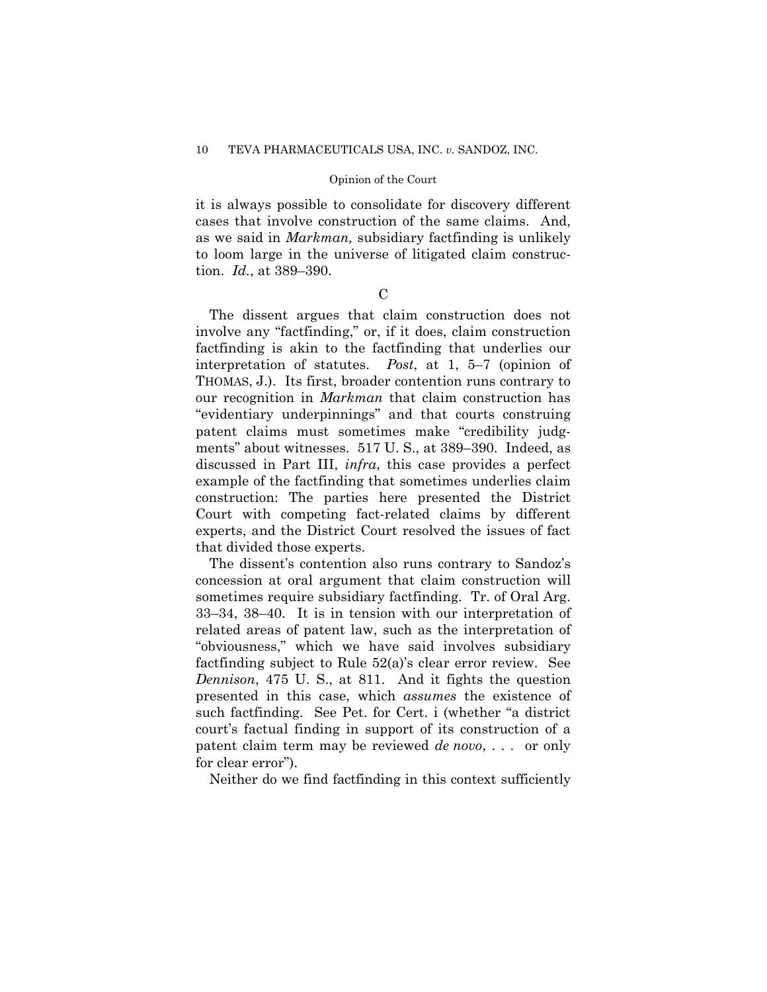it is always possible to consolidate for discovery different cases that involve construction of the same claims. And, as we said in *Markman,* subsidiary factfinding is unlikely to loom large in the universe of litigated claim construction. *Id.*, at 389–390.

 $\mathcal{C}$ 

The dissent argues that claim construction does not involve any "factfinding," or, if it does, claim construction factfinding is akin to the factfinding that underlies our interpretation of statutes. *Post*, at 1, 5–7 (opinion of THOMAS, J.). Its first, broader contention runs contrary to our recognition in *Markman* that claim construction has "evidentiary underpinnings" and that courts construing patent claims must sometimes make "credibility judgments" about witnesses. 517 U. S., at 389–390. Indeed, as discussed in Part III, *infra*, this case provides a perfect example of the factfinding that sometimes underlies claim construction: The parties here presented the District Court with competing fact-related claims by different experts, and the District Court resolved the issues of fact that divided those experts.

The dissent's contention also runs contrary to Sandoz's concession at oral argument that claim construction will sometimes require subsidiary factfinding. Tr. of Oral Arg. 33–34, 38–40. It is in tension with our interpretation of related areas of patent law, such as the interpretation of "obviousness," which we have said involves subsidiary factfinding subject to Rule 52(a)'s clear error review. See *Dennison*, 475 U. S., at 811. And it fights the question presented in this case, which *assumes* the existence of such factfinding. See Pet. for Cert. i (whether "a district court's factual finding in support of its construction of a patent claim term may be reviewed *de novo*, . . . or only for clear error").

Neither do we find factfinding in this context sufficiently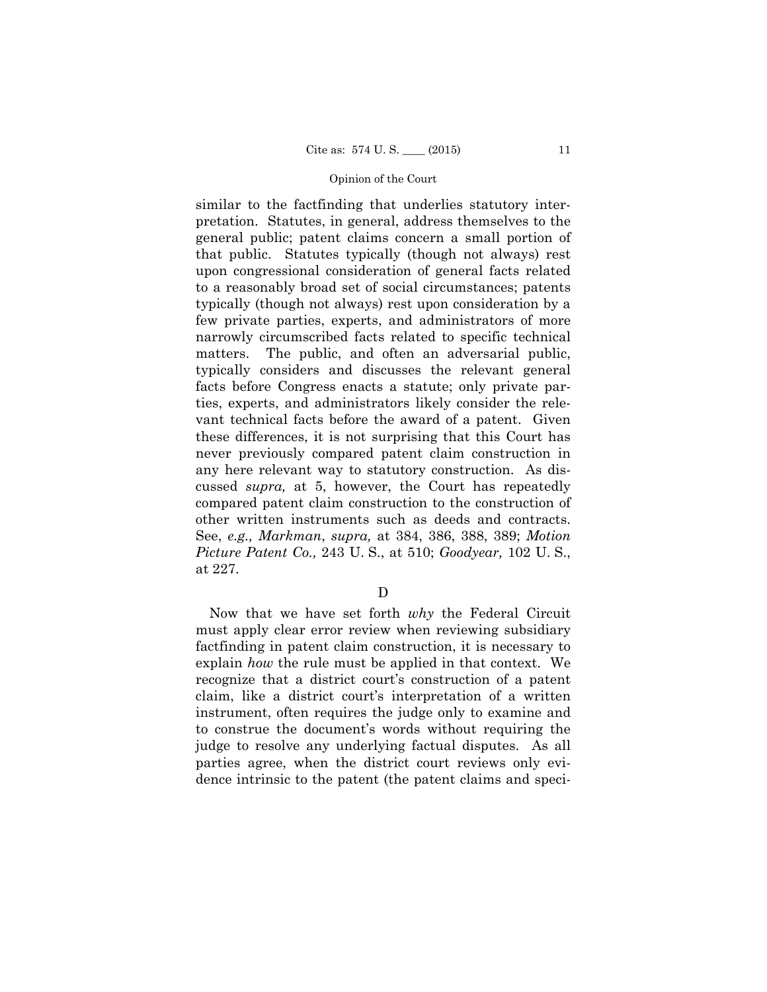similar to the factfinding that underlies statutory interpretation. Statutes, in general, address themselves to the general public; patent claims concern a small portion of that public. Statutes typically (though not always) rest upon congressional consideration of general facts related to a reasonably broad set of social circumstances; patents typically (though not always) rest upon consideration by a few private parties, experts, and administrators of more narrowly circumscribed facts related to specific technical matters. The public, and often an adversarial public, typically considers and discusses the relevant general facts before Congress enacts a statute; only private parties, experts, and administrators likely consider the relevant technical facts before the award of a patent. Given these differences, it is not surprising that this Court has never previously compared patent claim construction in any here relevant way to statutory construction. As discussed *supra,* at 5, however, the Court has repeatedly compared patent claim construction to the construction of other written instruments such as deeds and contracts. See, *e.g., Markman*, *supra,* at 384, 386, 388, 389; *Motion Picture Patent Co.,* 243 U. S., at 510; *Goodyear,* 102 U. S., at 227.

### D

Now that we have set forth *why* the Federal Circuit must apply clear error review when reviewing subsidiary factfinding in patent claim construction, it is necessary to explain *how* the rule must be applied in that context. We recognize that a district court's construction of a patent claim, like a district court's interpretation of a written instrument, often requires the judge only to examine and to construe the document's words without requiring the judge to resolve any underlying factual disputes. As all parties agree, when the district court reviews only evidence intrinsic to the patent (the patent claims and speci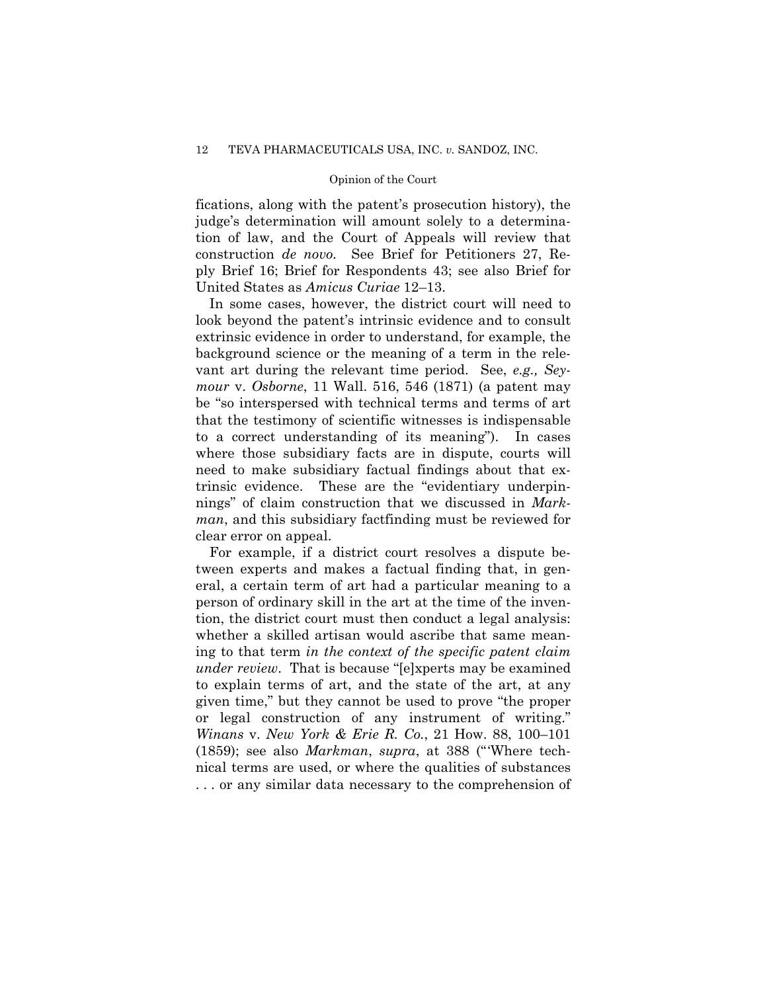construction *de novo.* See Brief for Petitioners 27, Refications, along with the patent's prosecution history), the judge's determination will amount solely to a determination of law, and the Court of Appeals will review that ply Brief 16; Brief for Respondents 43; see also Brief for United States as *Amicus Curiae* 12–13.

In some cases, however, the district court will need to look beyond the patent's intrinsic evidence and to consult extrinsic evidence in order to understand, for example, the background science or the meaning of a term in the relevant art during the relevant time period. See, *e.g., Seymour* v. *Osborne*, 11 Wall. 516, 546 (1871) (a patent may be "so interspersed with technical terms and terms of art that the testimony of scientific witnesses is indispensable to a correct understanding of its meaning"). In cases where those subsidiary facts are in dispute, courts will need to make subsidiary factual findings about that extrinsic evidence. These are the "evidentiary underpinnings" of claim construction that we discussed in *Markman*, and this subsidiary factfinding must be reviewed for clear error on appeal.

For example, if a district court resolves a dispute between experts and makes a factual finding that, in general, a certain term of art had a particular meaning to a person of ordinary skill in the art at the time of the invention, the district court must then conduct a legal analysis: whether a skilled artisan would ascribe that same meaning to that term *in the context of the specific patent claim under review*. That is because "[e]xperts may be examined to explain terms of art, and the state of the art, at any given time," but they cannot be used to prove "the proper or legal construction of any instrument of writing." *Winans* v. *New York & Erie R. Co.*, 21 How. 88, 100–101 (1859); see also *Markman*, *supra*, at 388 ("'Where technical terms are used, or where the qualities of substances . . . or any similar data necessary to the comprehension of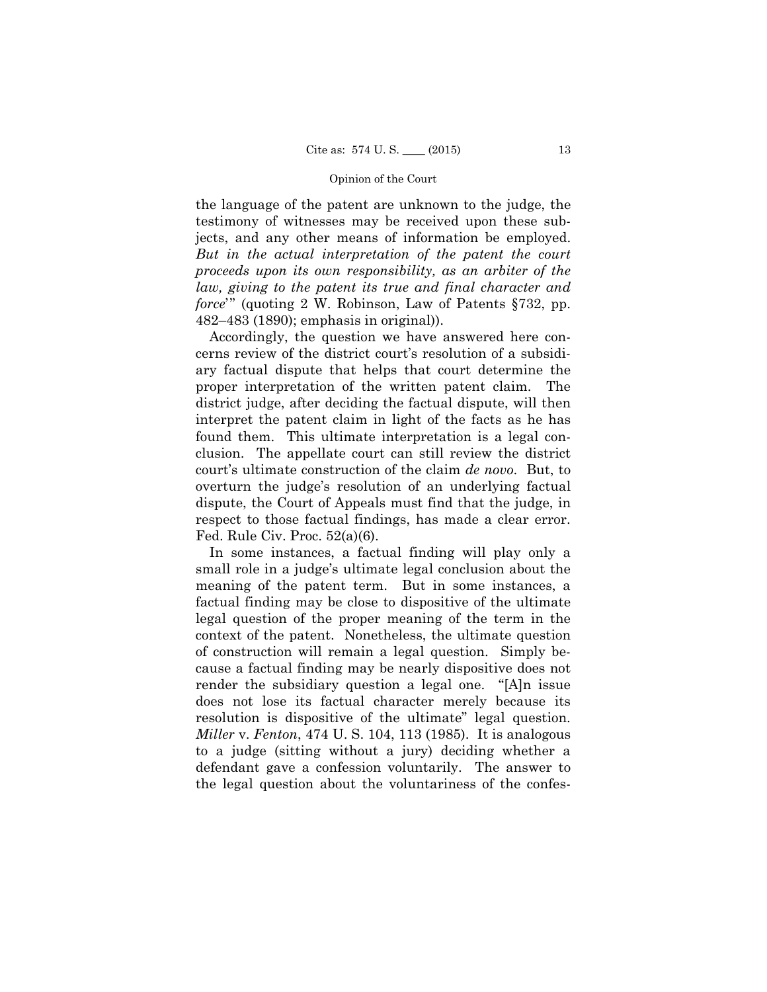jects, and any other means of information be employed. the language of the patent are unknown to the judge, the testimony of witnesses may be received upon these sub-*But in the actual interpretation of the patent the court proceeds upon its own responsibility, as an arbiter of the law, giving to the patent its true and final character and force*'" (quoting 2 W. Robinson, Law of Patents §732, pp. 482–483 (1890); emphasis in original)).

 court's ultimate construction of the claim *de novo*. But, to Accordingly, the question we have answered here concerns review of the district court's resolution of a subsidiary factual dispute that helps that court determine the proper interpretation of the written patent claim. The district judge, after deciding the factual dispute, will then interpret the patent claim in light of the facts as he has found them. This ultimate interpretation is a legal conclusion. The appellate court can still review the district overturn the judge's resolution of an underlying factual dispute, the Court of Appeals must find that the judge, in respect to those factual findings, has made a clear error. Fed. Rule Civ. Proc. 52(a)(6).

In some instances, a factual finding will play only a small role in a judge's ultimate legal conclusion about the meaning of the patent term. But in some instances, a factual finding may be close to dispositive of the ultimate legal question of the proper meaning of the term in the context of the patent. Nonetheless, the ultimate question of construction will remain a legal question. Simply because a factual finding may be nearly dispositive does not render the subsidiary question a legal one. "[A]n issue does not lose its factual character merely because its resolution is dispositive of the ultimate" legal question. *Miller* v. *Fenton*, 474 U. S. 104, 113 (1985). It is analogous to a judge (sitting without a jury) deciding whether a defendant gave a confession voluntarily. The answer to the legal question about the voluntariness of the confes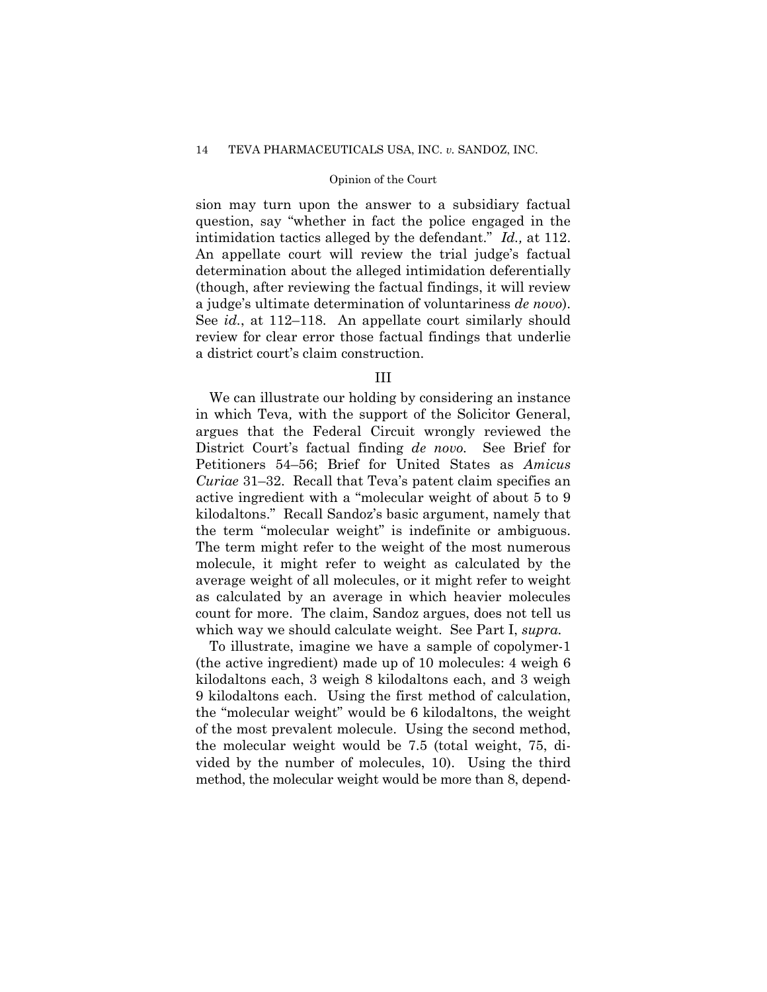sion may turn upon the answer to a subsidiary factual question, say "whether in fact the police engaged in the intimidation tactics alleged by the defendant." *Id.,* at 112. An appellate court will review the trial judge's factual determination about the alleged intimidation deferentially (though, after reviewing the factual findings, it will review a judge's ultimate determination of voluntariness *de novo*). See *id.*, at 112–118. An appellate court similarly should review for clear error those factual findings that underlie a district court's claim construction.

#### III

We can illustrate our holding by considering an instance in which Teva*,* with the support of the Solicitor General, argues that the Federal Circuit wrongly reviewed the District Court's factual finding *de novo.* See Brief for Petitioners 54–56; Brief for United States as *Amicus Curiae* 31–32. Recall that Teva's patent claim specifies an active ingredient with a "molecular weight of about 5 to 9 kilodaltons." Recall Sandoz's basic argument, namely that the term "molecular weight" is indefinite or ambiguous. The term might refer to the weight of the most numerous molecule, it might refer to weight as calculated by the average weight of all molecules, or it might refer to weight as calculated by an average in which heavier molecules count for more. The claim, Sandoz argues, does not tell us which way we should calculate weight. See Part I, *supra.*

To illustrate, imagine we have a sample of copolymer-1 (the active ingredient) made up of 10 molecules: 4 weigh 6 kilodaltons each, 3 weigh 8 kilodaltons each, and 3 weigh 9 kilodaltons each. Using the first method of calculation, the "molecular weight" would be 6 kilodaltons, the weight of the most prevalent molecule. Using the second method, the molecular weight would be 7.5 (total weight, 75, divided by the number of molecules, 10). Using the third method, the molecular weight would be more than 8, depend-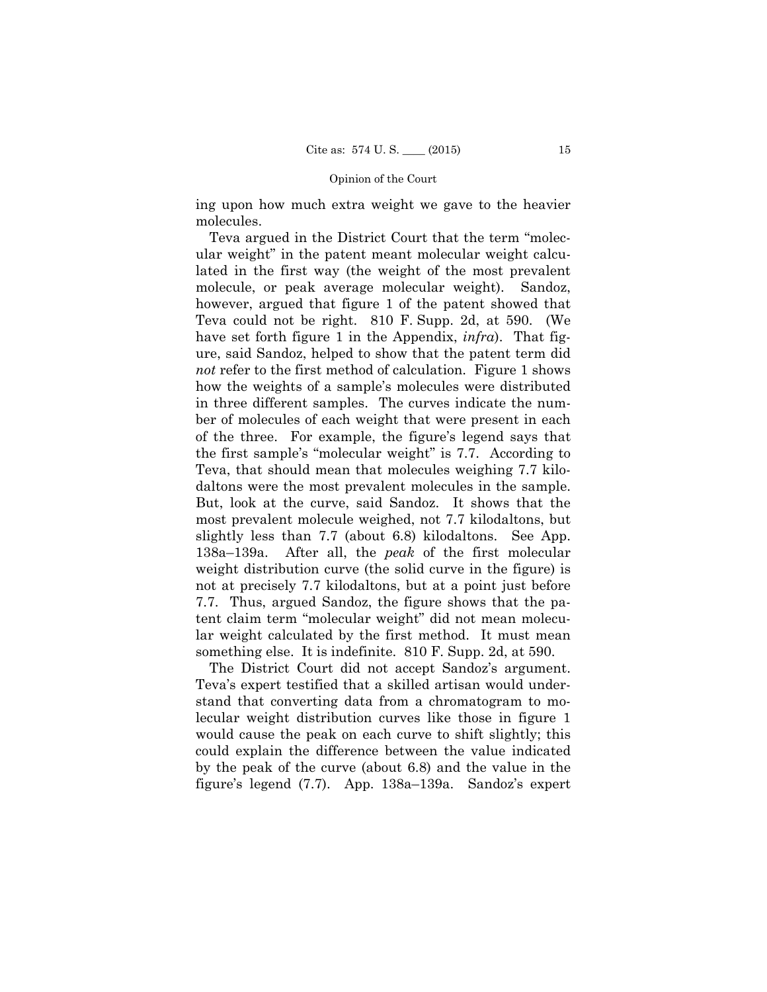ing upon how much extra weight we gave to the heavier molecules.

 Teva could not be right. 810 F. Supp. 2d, at 590. (We the first sample's "molecular weight" is 7.7. According to Teva argued in the District Court that the term "molecular weight" in the patent meant molecular weight calculated in the first way (the weight of the most prevalent molecule, or peak average molecular weight). Sandoz, however, argued that figure 1 of the patent showed that have set forth figure 1 in the Appendix, *infra*). That figure, said Sandoz, helped to show that the patent term did *not* refer to the first method of calculation. Figure 1 shows how the weights of a sample's molecules were distributed in three different samples. The curves indicate the number of molecules of each weight that were present in each of the three. For example, the figure's legend says that Teva, that should mean that molecules weighing 7.7 kilodaltons were the most prevalent molecules in the sample. But, look at the curve, said Sandoz. It shows that the most prevalent molecule weighed, not 7.7 kilodaltons, but slightly less than 7.7 (about 6.8) kilodaltons. See App. 138a–139a. After all, the *peak* of the first molecular weight distribution curve (the solid curve in the figure) is not at precisely 7.7 kilodaltons, but at a point just before 7.7. Thus, argued Sandoz, the figure shows that the patent claim term "molecular weight" did not mean molecular weight calculated by the first method. It must mean something else. It is indefinite. 810 F. Supp. 2d, at 590.

The District Court did not accept Sandoz's argument. Teva's expert testified that a skilled artisan would understand that converting data from a chromatogram to molecular weight distribution curves like those in figure 1 would cause the peak on each curve to shift slightly; this could explain the difference between the value indicated by the peak of the curve (about 6.8) and the value in the figure's legend (7.7). App. 138a–139a. Sandoz's expert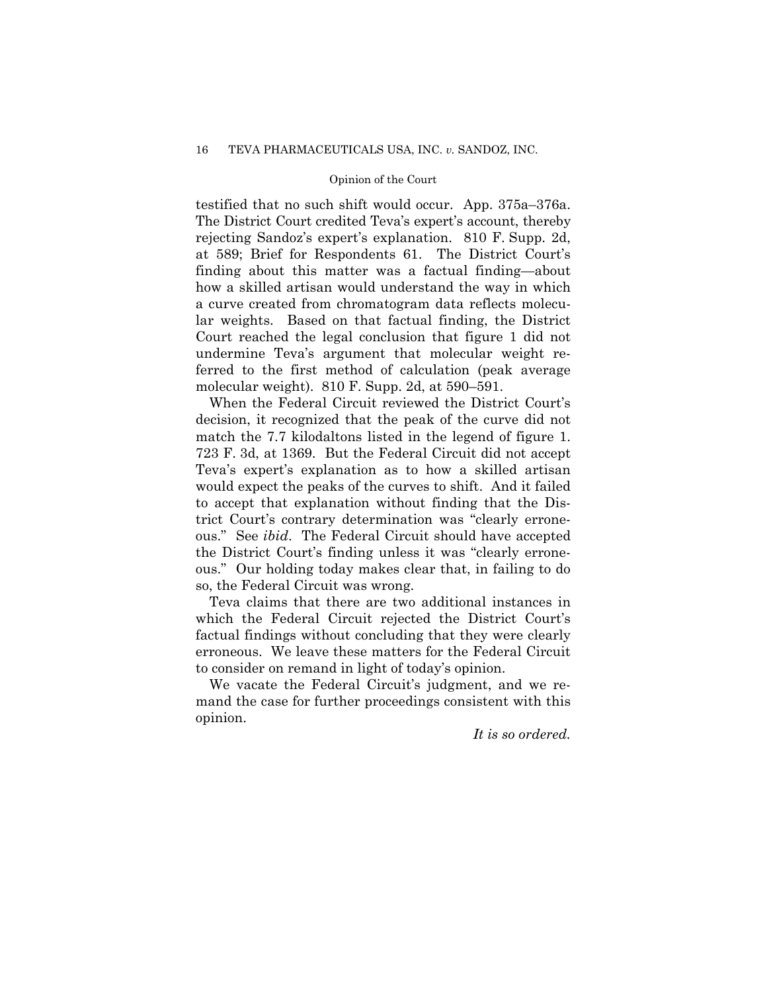testified that no such shift would occur. App. 375a–376a. The District Court credited Teva's expert's account, thereby rejecting Sandoz's expert's explanation. 810 F. Supp. 2d, at 589; Brief for Respondents 61. The District Court's finding about this matter was a factual finding—about how a skilled artisan would understand the way in which a curve created from chromatogram data reflects molecular weights. Based on that factual finding, the District Court reached the legal conclusion that figure 1 did not undermine Teva's argument that molecular weight referred to the first method of calculation (peak average molecular weight). 810 F. Supp. 2d, at 590–591.

When the Federal Circuit reviewed the District Court's decision, it recognized that the peak of the curve did not match the 7.7 kilodaltons listed in the legend of figure 1. 723 F. 3d, at 1369. But the Federal Circuit did not accept Teva's expert's explanation as to how a skilled artisan would expect the peaks of the curves to shift. And it failed to accept that explanation without finding that the District Court's contrary determination was "clearly erroneous." See *ibid*. The Federal Circuit should have accepted the District Court's finding unless it was "clearly erroneous." Our holding today makes clear that, in failing to do so, the Federal Circuit was wrong.

Teva claims that there are two additional instances in which the Federal Circuit rejected the District Court's factual findings without concluding that they were clearly erroneous. We leave these matters for the Federal Circuit to consider on remand in light of today's opinion.

We vacate the Federal Circuit's judgment, and we remand the case for further proceedings consistent with this opinion.

*It is so ordered.*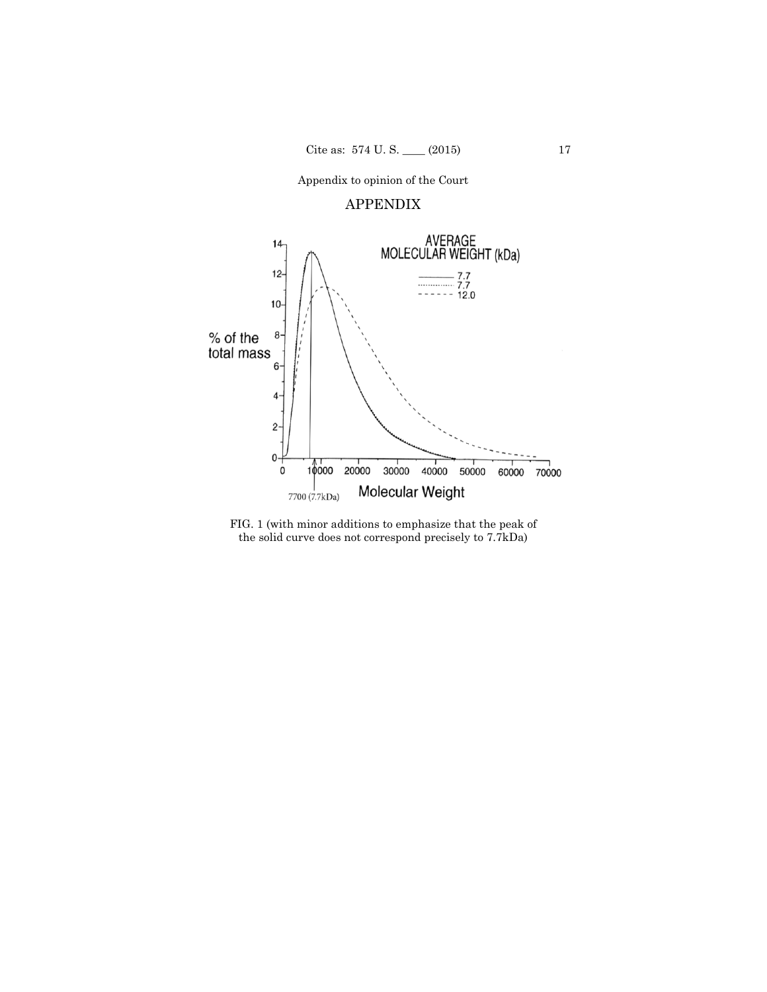Appendix to opinion of the Court

# APPENDIX



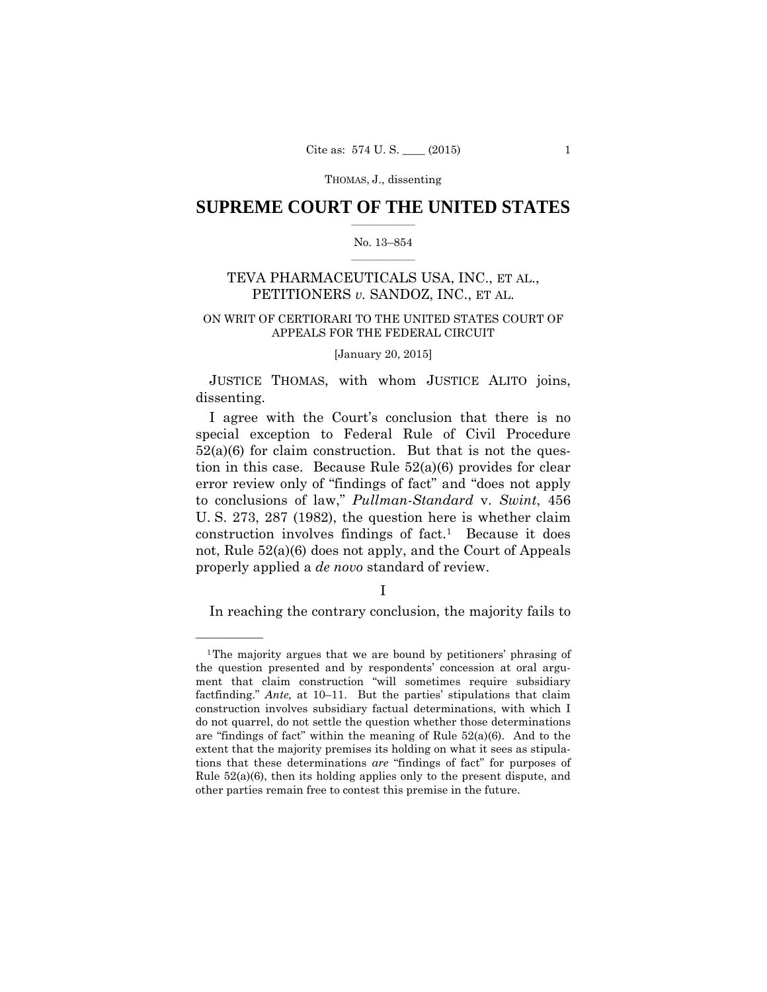### $\frac{1}{2}$  , where  $\frac{1}{2}$ **SUPREME COURT OF THE UNITED STATES**

#### $\frac{1}{2}$  ,  $\frac{1}{2}$  ,  $\frac{1}{2}$  ,  $\frac{1}{2}$  ,  $\frac{1}{2}$  ,  $\frac{1}{2}$ No. 13–854

# TEVA PHARMACEUTICALS USA, INC., ET AL., PETITIONERS *v.* SANDOZ, INC., ET AL.

### ON WRIT OF CERTIORARI TO THE UNITED STATES COURT OF APPEALS FOR THE FEDERAL CIRCUIT

[January 20, 2015]

 JUSTICE THOMAS, with whom JUSTICE ALITO joins, dissenting.

I agree with the Court's conclusion that there is no special exception to Federal Rule of Civil Procedure  $52(a)(6)$  for claim construction. But that is not the question in this case. Because Rule  $52(a)(6)$  provides for clear error review only of "findings of fact" and "does not apply to conclusions of law," *Pullman-Standard* v. *Swint*, 456 U. S. 273, 287 (1982), the question here is whether claim construction involves findings of  $fact.1$  Because it does not, Rule 52(a)(6) does not apply, and the Court of Appeals properly applied a *de novo* standard of review.

I

——————

In reaching the contrary conclusion, the majority fails to

<sup>1</sup>The majority argues that we are bound by petitioners' phrasing of the question presented and by respondents' concession at oral argument that claim construction "will sometimes require subsidiary factfinding." *Ante,* at 10–11. But the parties' stipulations that claim construction involves subsidiary factual determinations, with which I do not quarrel, do not settle the question whether those determinations are "findings of fact" within the meaning of Rule  $52(a)(6)$ . And to the extent that the majority premises its holding on what it sees as stipulations that these determinations *are* "findings of fact" for purposes of Rule  $52(a)(6)$ , then its holding applies only to the present dispute, and other parties remain free to contest this premise in the future.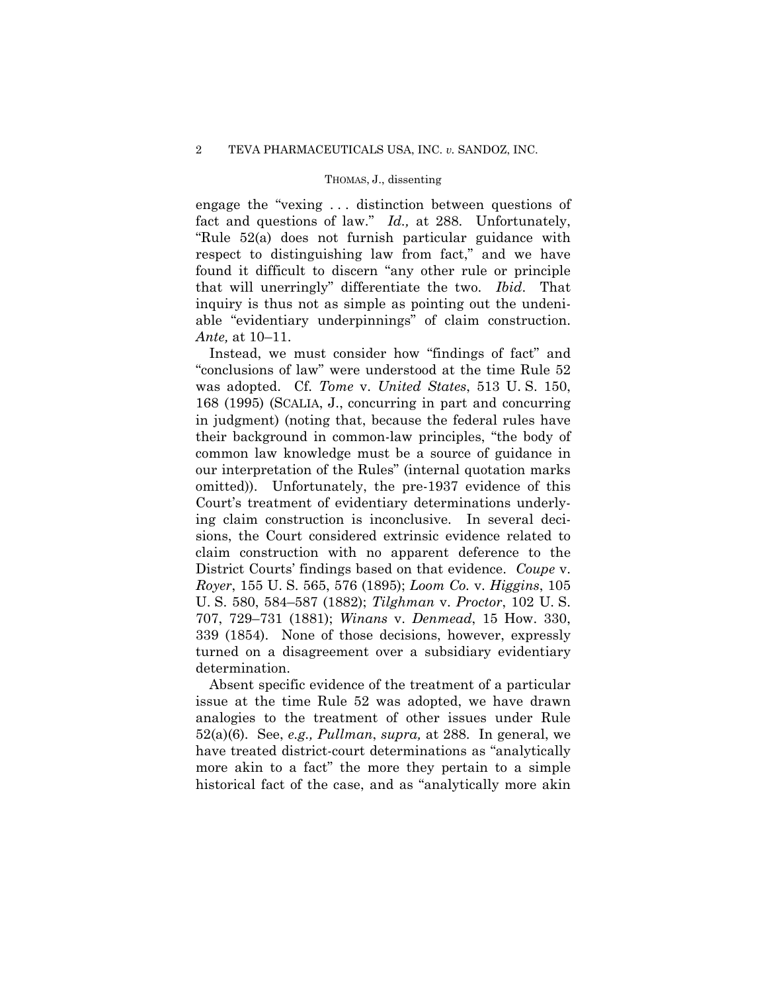engage the "vexing . . . distinction between questions of fact and questions of law." *Id.,* at 288. Unfortunately, "Rule 52(a) does not furnish particular guidance with respect to distinguishing law from fact," and we have found it difficult to discern "any other rule or principle that will unerringly" differentiate the two. *Ibid*. That inquiry is thus not as simple as pointing out the undeniable "evidentiary underpinnings" of claim construction. *Ante,* at 10–11.

 168 (1995) (SCALIA, J., concurring in part and concurring Instead, we must consider how "findings of fact" and "conclusions of law" were understood at the time Rule 52 was adopted. Cf. *Tome* v. *United States*, 513 U. S. 150, in judgment) (noting that, because the federal rules have their background in common-law principles, "the body of common law knowledge must be a source of guidance in our interpretation of the Rules" (internal quotation marks omitted)). Unfortunately, the pre-1937 evidence of this Court's treatment of evidentiary determinations underlying claim construction is inconclusive. In several decisions, the Court considered extrinsic evidence related to claim construction with no apparent deference to the District Courts' findings based on that evidence. *Coupe* v. *Royer*, 155 U. S. 565, 576 (1895); *Loom Co.* v. *Higgins*, 105 U. S. 580, 584–587 (1882); *Tilghman* v. *Proctor*, 102 U. S. 707, 729–731 (1881); *Winans* v. *Denmead*, 15 How. 330, 339 (1854). None of those decisions, however, expressly turned on a disagreement over a subsidiary evidentiary determination.

Absent specific evidence of the treatment of a particular issue at the time Rule 52 was adopted, we have drawn analogies to the treatment of other issues under Rule 52(a)(6). See, *e.g., Pullman*, *supra,* at 288. In general, we have treated district-court determinations as "analytically more akin to a fact" the more they pertain to a simple historical fact of the case, and as "analytically more akin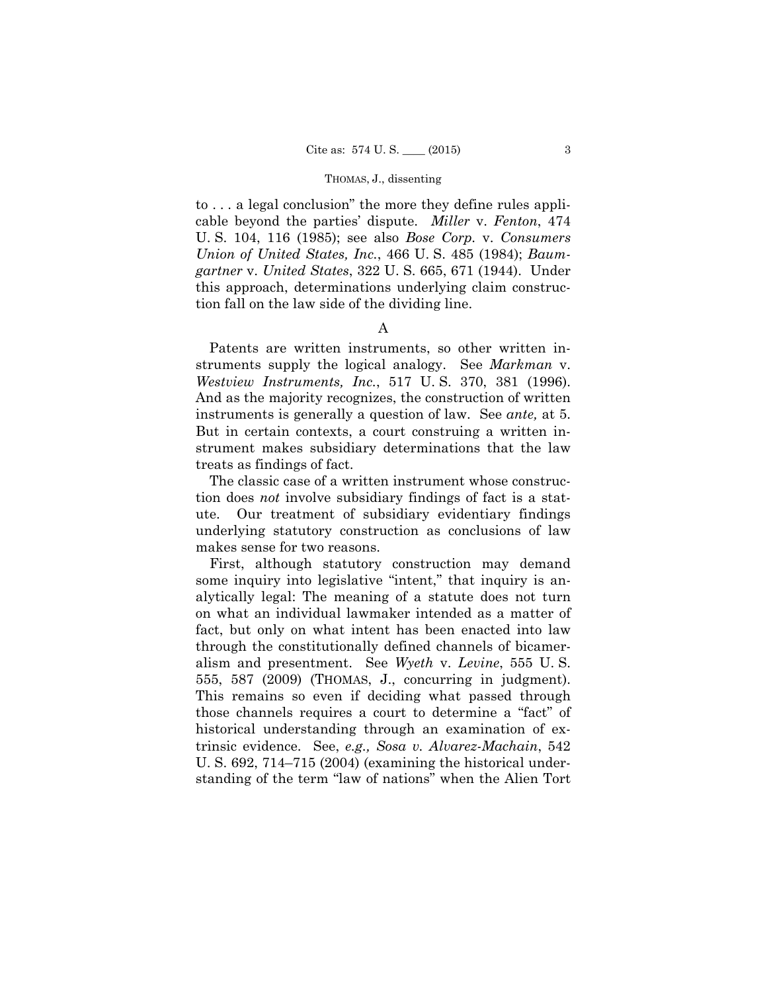to . . . a legal conclusion" the more they define rules applicable beyond the parties' dispute. *Miller* v. *Fenton*, 474 U. S. 104, 116 (1985); see also *Bose Corp.* v. *Consumers Union of United States, Inc.*, 466 U. S. 485 (1984); *Baumgartner* v. *United States*, 322 U. S. 665, 671 (1944). Under this approach, determinations underlying claim construction fall on the law side of the dividing line.

A

Patents are written instruments, so other written instruments supply the logical analogy. See *Markman* v. *Westview Instruments, Inc.*, 517 U. S. 370, 381 (1996). And as the majority recognizes, the construction of written instruments is generally a question of law. See *ante,* at 5. But in certain contexts, a court construing a written instrument makes subsidiary determinations that the law treats as findings of fact.

The classic case of a written instrument whose construction does *not* involve subsidiary findings of fact is a statute. Our treatment of subsidiary evidentiary findings underlying statutory construction as conclusions of law makes sense for two reasons.

First, although statutory construction may demand some inquiry into legislative "intent," that inquiry is analytically legal: The meaning of a statute does not turn on what an individual lawmaker intended as a matter of fact, but only on what intent has been enacted into law through the constitutionally defined channels of bicameralism and presentment. See *Wyeth* v. *Levine*, 555 U. S. 555, 587 (2009) (THOMAS, J., concurring in judgment). This remains so even if deciding what passed through those channels requires a court to determine a "fact" of historical understanding through an examination of extrinsic evidence. See, *e.g., Sosa v. Alvarez-Machain*, 542 U. S. 692, 714–715 (2004) (examining the historical understanding of the term "law of nations" when the Alien Tort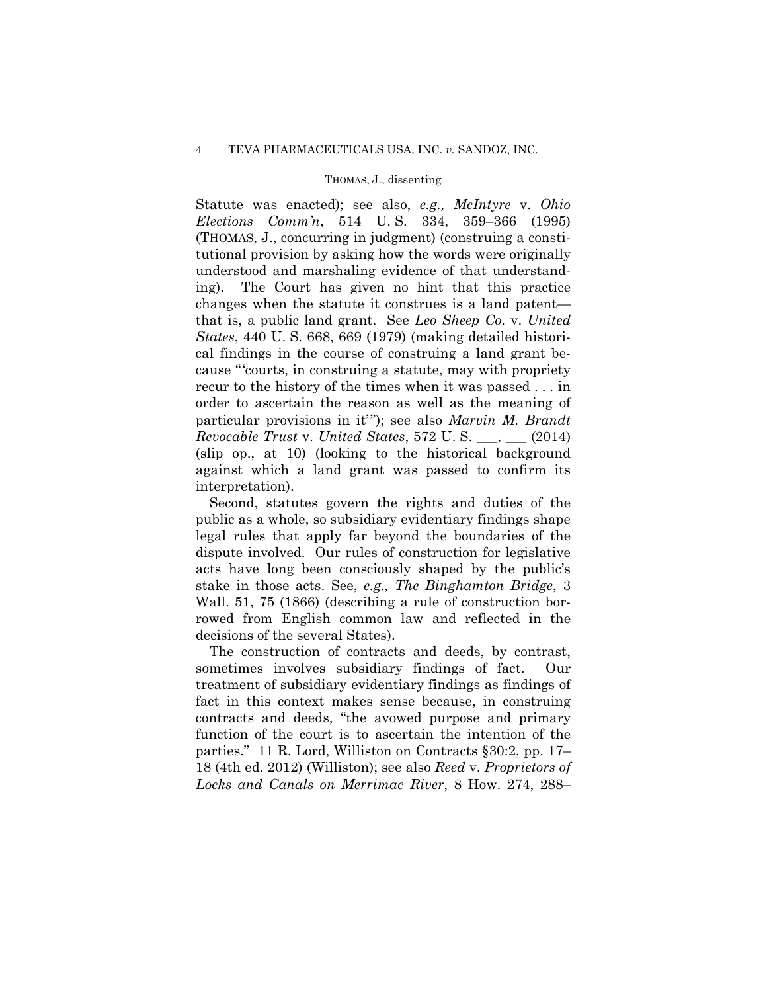Statute was enacted); see also, *e.g., McIntyre* v. *Ohio Elections Comm'n*, 514 U. S. 334, 359–366 (1995) (THOMAS, J., concurring in judgment) (construing a constitutional provision by asking how the words were originally understood and marshaling evidence of that understanding). The Court has given no hint that this practice changes when the statute it construes is a land patent that is, a public land grant. See *Leo Sheep Co.* v. *United States*, 440 U. S. 668, 669 (1979) (making detailed historical findings in the course of construing a land grant because "'courts, in construing a statute, may with propriety recur to the history of the times when it was passed . . . in order to ascertain the reason as well as the meaning of particular provisions in it'"); see also *Marvin M. Brandt Revocable Trust* v. *United States*, 572 U. S. \_\_\_, \_\_\_ (2014) (slip op., at 10) (looking to the historical background against which a land grant was passed to confirm its interpretation).

Second, statutes govern the rights and duties of the public as a whole, so subsidiary evidentiary findings shape legal rules that apply far beyond the boundaries of the dispute involved. Our rules of construction for legislative acts have long been consciously shaped by the public's stake in those acts. See, *e.g., The Binghamton Bridge*, 3 Wall. 51, 75 (1866) (describing a rule of construction borrowed from English common law and reflected in the decisions of the several States).

The construction of contracts and deeds, by contrast, sometimes involves subsidiary findings of fact. Our treatment of subsidiary evidentiary findings as findings of fact in this context makes sense because, in construing contracts and deeds, "the avowed purpose and primary function of the court is to ascertain the intention of the parties." 11 R. Lord, Williston on Contracts §30:2, pp. 17– 18 (4th ed. 2012) (Williston); see also *Reed* v. *Proprietors of Locks and Canals on Merrimac River*, 8 How. 274, 288–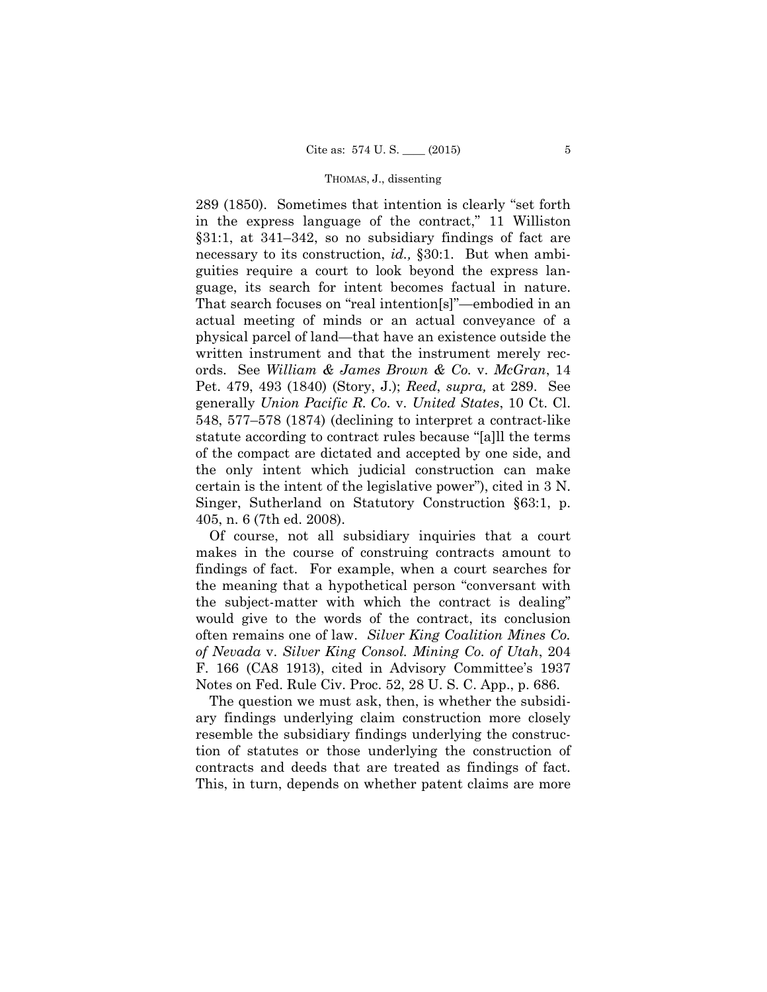certain is the intent of the legislative power"), cited in 3 N. 289 (1850). Sometimes that intention is clearly "set forth in the express language of the contract," 11 Williston §31:1, at 341–342, so no subsidiary findings of fact are necessary to its construction, *id.,* §30:1. But when ambiguities require a court to look beyond the express language, its search for intent becomes factual in nature. That search focuses on "real intention[s]"—embodied in an actual meeting of minds or an actual conveyance of a physical parcel of land—that have an existence outside the written instrument and that the instrument merely records. See *William & James Brown & Co.* v. *McGran*, 14 Pet. 479, 493 (1840) (Story, J.); *Reed*, *supra,* at 289. See generally *Union Pacific R. Co.* v. *United States*, 10 Ct. Cl. 548, 577–578 (1874) (declining to interpret a contract-like statute according to contract rules because "[a]ll the terms of the compact are dictated and accepted by one side, and the only intent which judicial construction can make Singer, Sutherland on Statutory Construction §63:1, p. 405, n. 6 (7th ed. 2008).

Of course, not all subsidiary inquiries that a court makes in the course of construing contracts amount to findings of fact. For example, when a court searches for the meaning that a hypothetical person "conversant with the subject-matter with which the contract is dealing" would give to the words of the contract, its conclusion often remains one of law. *Silver King Coalition Mines Co. of Nevada* v. *Silver King Consol. Mining Co. of Utah*, 204 F. 166 (CA8 1913), cited in Advisory Committee's 1937 Notes on Fed. Rule Civ. Proc. 52, 28 U. S. C. App., p. 686.

The question we must ask, then, is whether the subsidiary findings underlying claim construction more closely resemble the subsidiary findings underlying the construction of statutes or those underlying the construction of contracts and deeds that are treated as findings of fact. This, in turn, depends on whether patent claims are more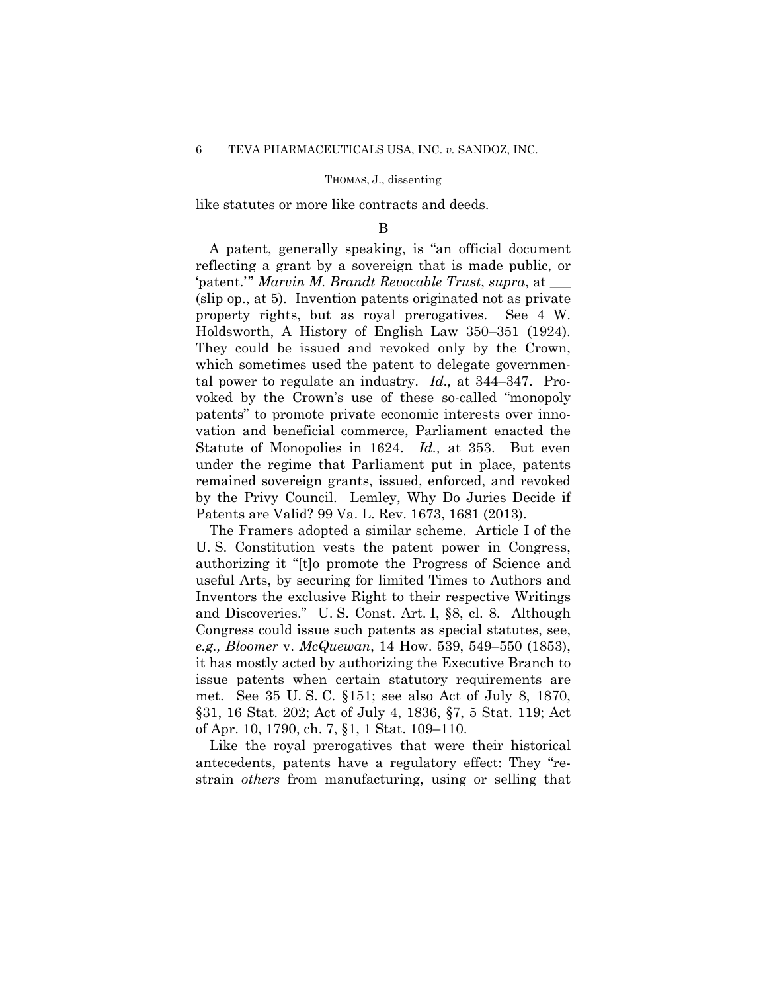like statutes or more like contracts and deeds.

### B

A patent, generally speaking, is "an official document reflecting a grant by a sovereign that is made public, or 'patent.'" *Marvin M. Brandt Revocable Trust*, *supra*, at \_\_\_ (slip op., at 5). Invention patents originated not as private property rights, but as royal prerogatives. See 4 W. Holdsworth, A History of English Law 350–351 (1924). They could be issued and revoked only by the Crown, which sometimes used the patent to delegate governmental power to regulate an industry. *Id.,* at 344–347. Provoked by the Crown's use of these so-called "monopoly patents" to promote private economic interests over innovation and beneficial commerce, Parliament enacted the Statute of Monopolies in 1624. *Id.,* at 353. But even under the regime that Parliament put in place, patents remained sovereign grants, issued, enforced, and revoked by the Privy Council. Lemley, Why Do Juries Decide if Patents are Valid? 99 Va. L. Rev. 1673, 1681 (2013).

The Framers adopted a similar scheme. Article I of the U. S. Constitution vests the patent power in Congress, authorizing it "[t]o promote the Progress of Science and useful Arts, by securing for limited Times to Authors and Inventors the exclusive Right to their respective Writings and Discoveries." U. S. Const. Art. I, §8, cl. 8. Although Congress could issue such patents as special statutes, see, *e.g., Bloomer* v. *McQuewan*, 14 How. 539, 549–550 (1853), it has mostly acted by authorizing the Executive Branch to issue patents when certain statutory requirements are met. See 35 U. S. C. §151; see also Act of July 8, 1870, §31, 16 Stat. 202; Act of July 4, 1836, §7, 5 Stat. 119; Act of Apr. 10, 1790, ch. 7, §1, 1 Stat. 109–110.

Like the royal prerogatives that were their historical antecedents, patents have a regulatory effect: They "restrain *others* from manufacturing, using or selling that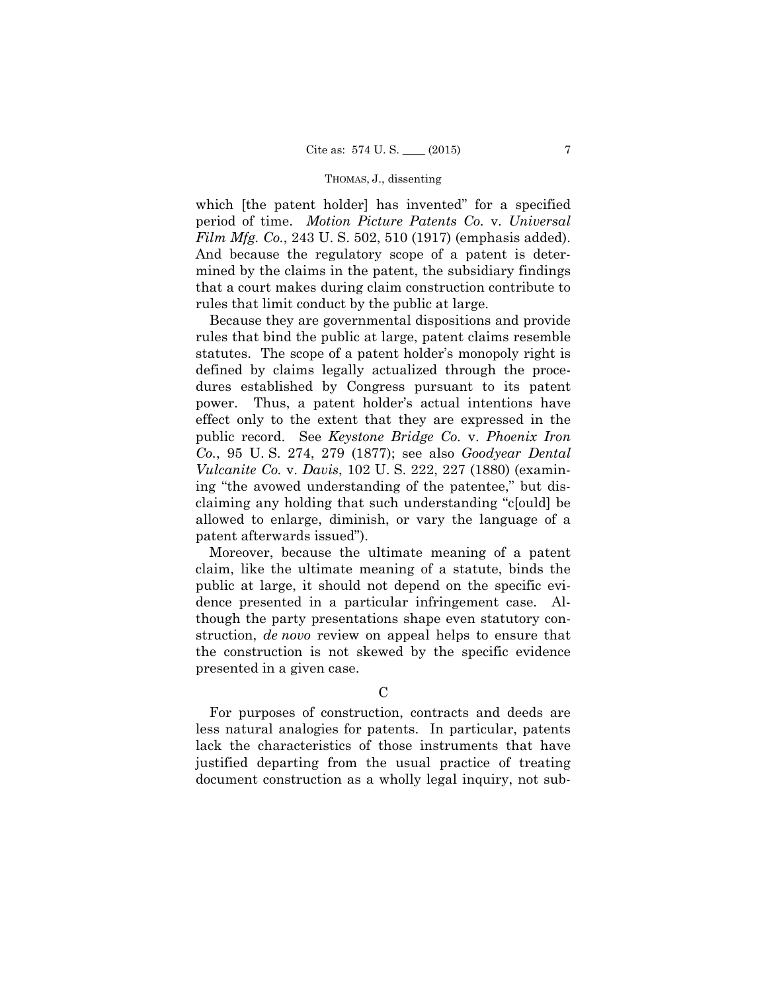which [the patent holder] has invented" for a specified period of time. *Motion Picture Patents Co.* v. *Universal Film Mfg. Co.*, 243 U. S. 502, 510 (1917) (emphasis added). And because the regulatory scope of a patent is determined by the claims in the patent, the subsidiary findings that a court makes during claim construction contribute to rules that limit conduct by the public at large.

Because they are governmental dispositions and provide rules that bind the public at large, patent claims resemble statutes. The scope of a patent holder's monopoly right is defined by claims legally actualized through the procedures established by Congress pursuant to its patent power. Thus, a patent holder's actual intentions have effect only to the extent that they are expressed in the public record. See *Keystone Bridge Co.* v. *Phoenix Iron Co.*, 95 U. S. 274, 279 (1877); see also *Goodyear Dental Vulcanite Co.* v. *Davis*, 102 U. S. 222, 227 (1880) (examining "the avowed understanding of the patentee," but disclaiming any holding that such understanding "c[ould] be allowed to enlarge, diminish, or vary the language of a patent afterwards issued").

Moreover, because the ultimate meaning of a patent claim, like the ultimate meaning of a statute, binds the public at large, it should not depend on the specific evidence presented in a particular infringement case. Although the party presentations shape even statutory construction, *de novo* review on appeal helps to ensure that the construction is not skewed by the specific evidence presented in a given case.

 $\mathcal{C}$ 

For purposes of construction, contracts and deeds are less natural analogies for patents. In particular, patents lack the characteristics of those instruments that have justified departing from the usual practice of treating document construction as a wholly legal inquiry, not sub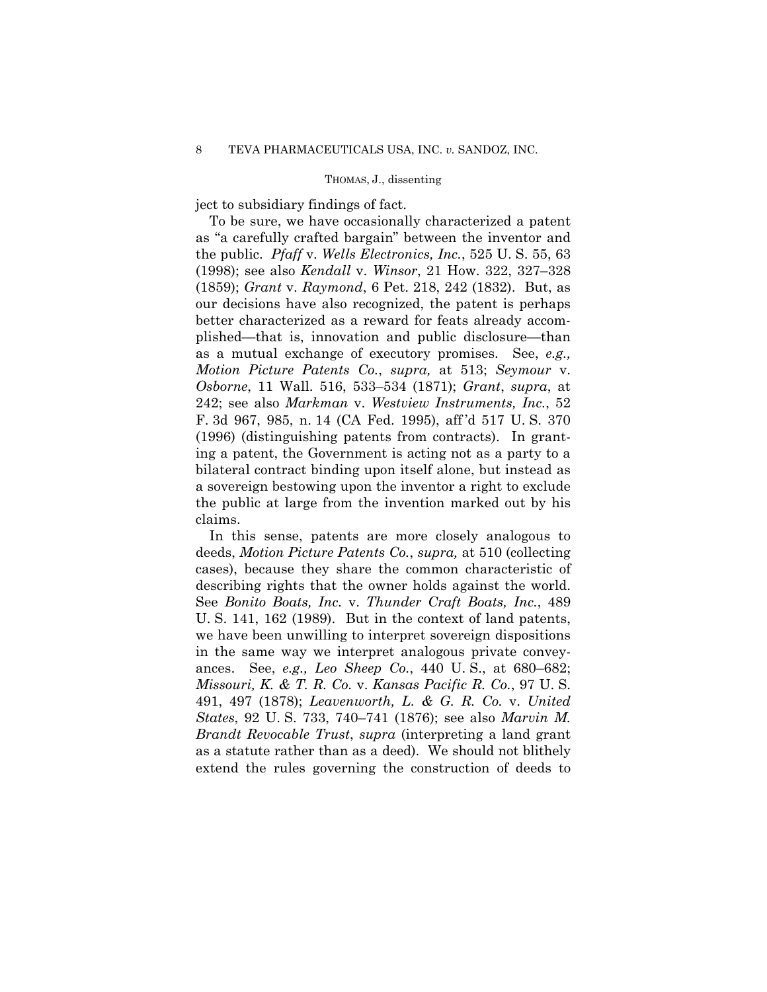ject to subsidiary findings of fact.

To be sure, we have occasionally characterized a patent as "a carefully crafted bargain" between the inventor and the public. *Pfaff* v. *Wells Electronics, Inc.*, 525 U. S. 55, 63 (1998); see also *Kendall* v. *Winsor*, 21 How. 322, 327–328 (1859); *Grant* v. *Raymond*, 6 Pet. 218, 242 (1832). But, as our decisions have also recognized, the patent is perhaps better characterized as a reward for feats already accomplished—that is, innovation and public disclosure—than as a mutual exchange of executory promises. See, *e.g., Motion Picture Patents Co.*, *supra,* at 513; *Seymour* v. *Osborne*, 11 Wall. 516, 533–534 (1871); *Grant*, *supra*, at 242; see also *Markman* v. *Westview Instruments, Inc.*, 52 F. 3d 967, 985, n. 14 (CA Fed. 1995), aff 'd 517 U. S. 370 (1996) (distinguishing patents from contracts). In granting a patent, the Government is acting not as a party to a bilateral contract binding upon itself alone, but instead as a sovereign bestowing upon the inventor a right to exclude the public at large from the invention marked out by his claims.

In this sense, patents are more closely analogous to deeds, *Motion Picture Patents Co.*, *supra,* at 510 (collecting cases), because they share the common characteristic of describing rights that the owner holds against the world. See *Bonito Boats, Inc.* v. *Thunder Craft Boats, Inc.*, 489 U. S. 141, 162 (1989). But in the context of land patents, we have been unwilling to interpret sovereign dispositions in the same way we interpret analogous private conveyances. See, *e.g., Leo Sheep Co.*, 440 U. S., at 680–682; *Missouri, K. & T. R. Co.* v. *Kansas Pacific R. Co.*, 97 U. S. 491, 497 (1878); *Leavenworth, L. & G. R. Co.* v. *United States*, 92 U. S. 733, 740–741 (1876); see also *Marvin M. Brandt Revocable Trust*, *supra* (interpreting a land grant as a statute rather than as a deed). We should not blithely extend the rules governing the construction of deeds to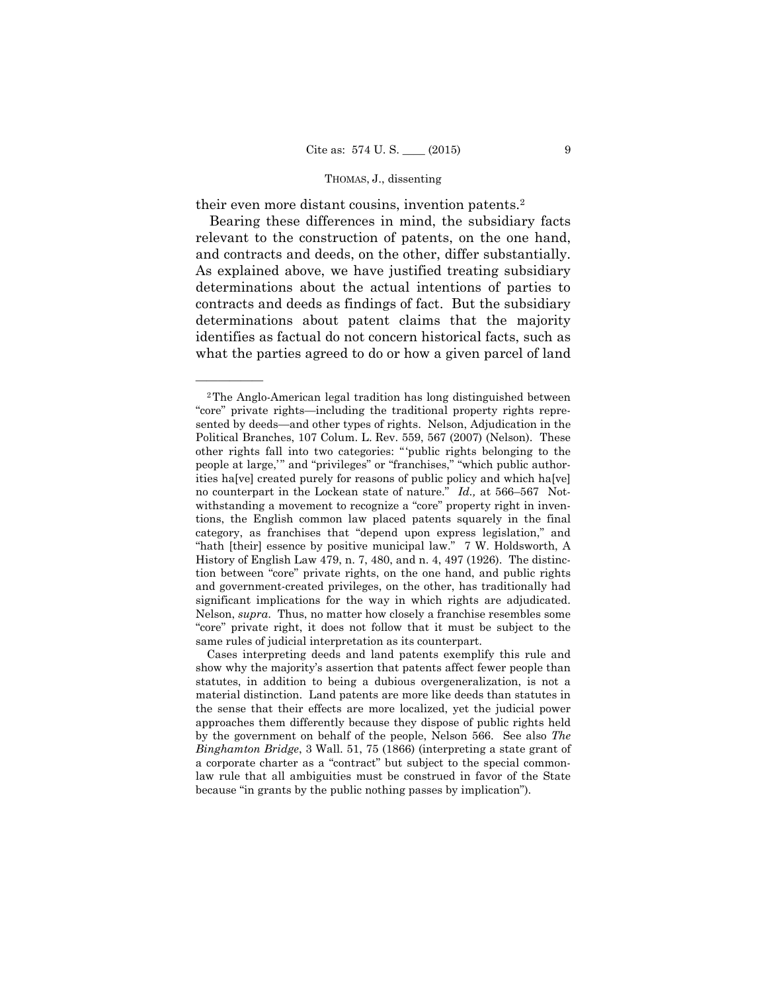their even more distant cousins, invention patents.2

——————

Bearing these differences in mind, the subsidiary facts relevant to the construction of patents, on the one hand, and contracts and deeds, on the other, differ substantially. As explained above, we have justified treating subsidiary determinations about the actual intentions of parties to contracts and deeds as findings of fact. But the subsidiary determinations about patent claims that the majority identifies as factual do not concern historical facts, such as what the parties agreed to do or how a given parcel of land

<sup>2</sup>The Anglo-American legal tradition has long distinguished between "core" private rights—including the traditional property rights represented by deeds—and other types of rights. Nelson, Adjudication in the Political Branches, 107 Colum. L. Rev. 559, 567 (2007) (Nelson). These other rights fall into two categories: " 'public rights belonging to the people at large," and "privileges" or "franchises," "which public authorities halvel created purely for reasons of public policy and which halvel no counterpart in the Lockean state of nature." *Id.,* at 566–567 Notwithstanding a movement to recognize a "core" property right in inventions, the English common law placed patents squarely in the final category, as franchises that "depend upon express legislation," and "hath [their] essence by positive municipal law." 7 W. Holdsworth, A History of English Law 479, n. 7, 480, and n. 4, 497 (1926). The distinction between "core" private rights, on the one hand, and public rights and government-created privileges, on the other, has traditionally had significant implications for the way in which rights are adjudicated. Nelson, *supra*. Thus, no matter how closely a franchise resembles some "core" private right, it does not follow that it must be subject to the same rules of judicial interpretation as its counterpart.

Cases interpreting deeds and land patents exemplify this rule and show why the majority's assertion that patents affect fewer people than statutes, in addition to being a dubious overgeneralization, is not a material distinction. Land patents are more like deeds than statutes in the sense that their effects are more localized, yet the judicial power approaches them differently because they dispose of public rights held by the government on behalf of the people, Nelson 566. See also *The Binghamton Bridge*, 3 Wall. 51, 75 (1866) (interpreting a state grant of a corporate charter as a "contract" but subject to the special commonlaw rule that all ambiguities must be construed in favor of the State because "in grants by the public nothing passes by implication").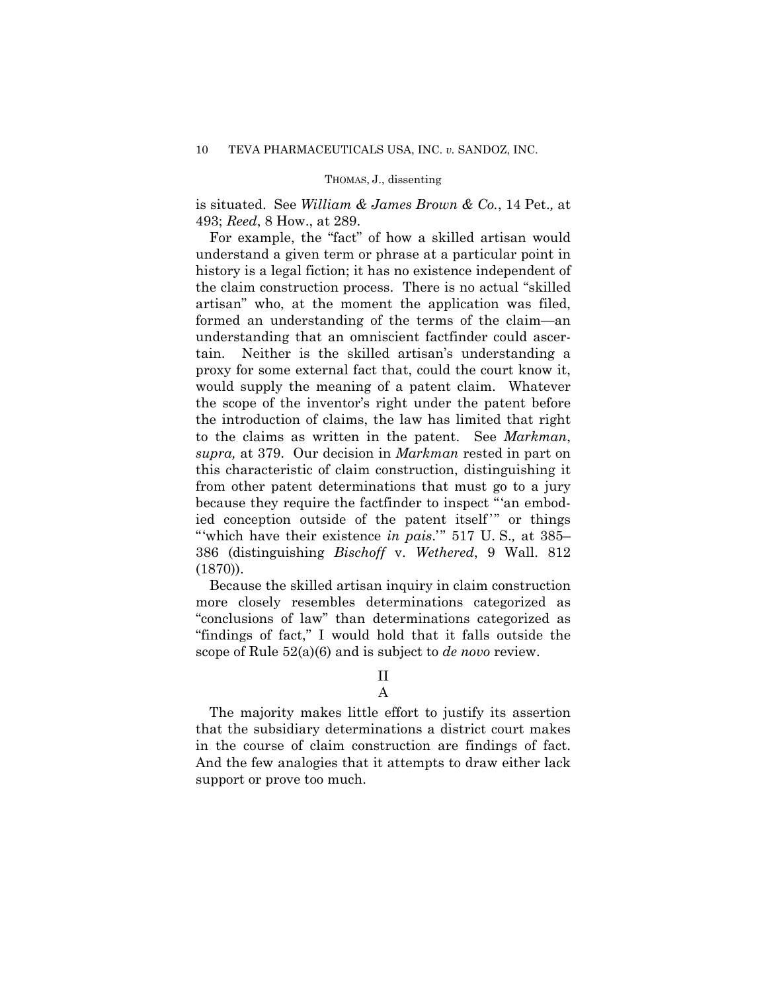is situated. See *William & James Brown & Co.*, 14 Pet.*,* at 493; *Reed*, 8 How., at 289.

For example, the "fact" of how a skilled artisan would understand a given term or phrase at a particular point in history is a legal fiction; it has no existence independent of the claim construction process. There is no actual "skilled artisan" who, at the moment the application was filed, formed an understanding of the terms of the claim—an understanding that an omniscient factfinder could ascertain. Neither is the skilled artisan's understanding a proxy for some external fact that, could the court know it, would supply the meaning of a patent claim. Whatever the scope of the inventor's right under the patent before the introduction of claims, the law has limited that right to the claims as written in the patent. See *Markman*, *supra,* at 379. Our decision in *Markman* rested in part on this characteristic of claim construction, distinguishing it from other patent determinations that must go to a jury because they require the factfinder to inspect "'an embodied conception outside of the patent itself" or things "'which have their existence *in pais*.'" 517 U. S.*,* at 385– 386 (distinguishing *Bischoff* v. *Wethered*, 9 Wall. 812 (1870)).

Because the skilled artisan inquiry in claim construction more closely resembles determinations categorized as "conclusions of law" than determinations categorized as "findings of fact," I would hold that it falls outside the scope of Rule 52(a)(6) and is subject to *de novo* review.

II

## A

The majority makes little effort to justify its assertion that the subsidiary determinations a district court makes in the course of claim construction are findings of fact. And the few analogies that it attempts to draw either lack support or prove too much.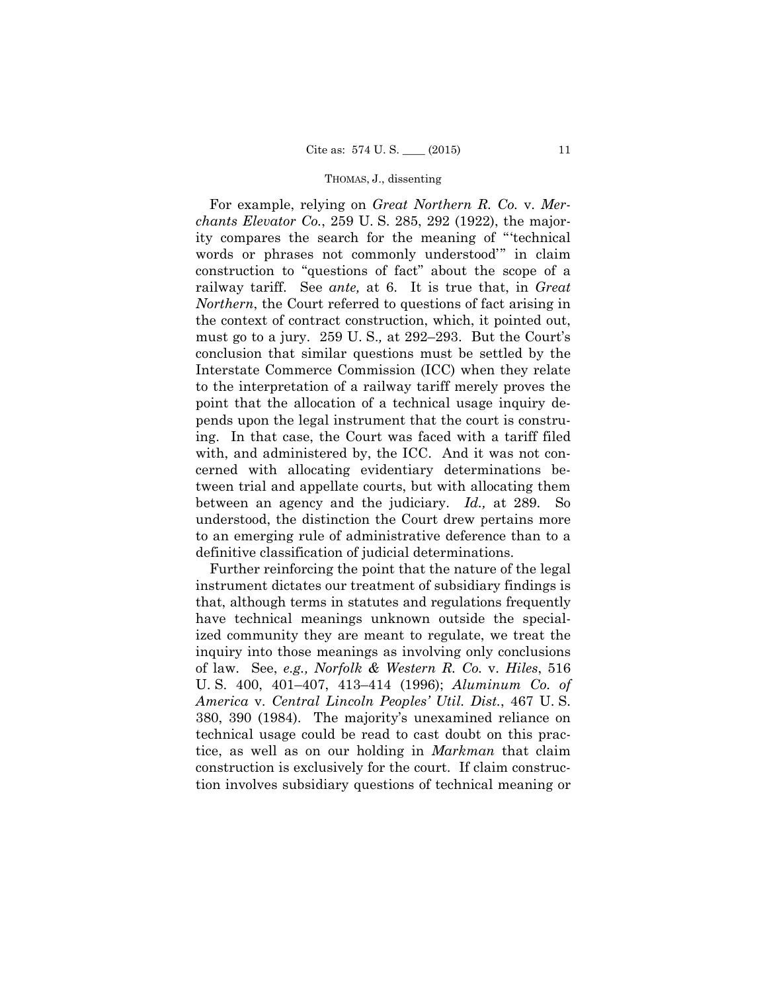the context of contract construction, which, it pointed out, For example, relying on *Great Northern R. Co.* v. *Merchants Elevator Co.*, 259 U. S. 285, 292 (1922), the majority compares the search for the meaning of "'technical words or phrases not commonly understood'" in claim construction to "questions of fact" about the scope of a railway tariff. See *ante,* at 6. It is true that, in *Great Northern*, the Court referred to questions of fact arising in must go to a jury. 259 U. S.*,* at 292–293. But the Court's conclusion that similar questions must be settled by the Interstate Commerce Commission (ICC) when they relate to the interpretation of a railway tariff merely proves the point that the allocation of a technical usage inquiry depends upon the legal instrument that the court is construing. In that case, the Court was faced with a tariff filed with, and administered by, the ICC. And it was not concerned with allocating evidentiary determinations between trial and appellate courts, but with allocating them between an agency and the judiciary. *Id.,* at 289. So understood, the distinction the Court drew pertains more to an emerging rule of administrative deference than to a definitive classification of judicial determinations.

Further reinforcing the point that the nature of the legal instrument dictates our treatment of subsidiary findings is that, although terms in statutes and regulations frequently have technical meanings unknown outside the specialized community they are meant to regulate, we treat the inquiry into those meanings as involving only conclusions of law. See, *e.g., Norfolk & Western R. Co.* v. *Hiles*, 516 U. S. 400, 401–407, 413–414 (1996); *Aluminum Co. of America* v. *Central Lincoln Peoples' Util. Dist.*, 467 U. S. 380, 390 (1984). The majority's unexamined reliance on technical usage could be read to cast doubt on this practice, as well as on our holding in *Markman* that claim construction is exclusively for the court. If claim construction involves subsidiary questions of technical meaning or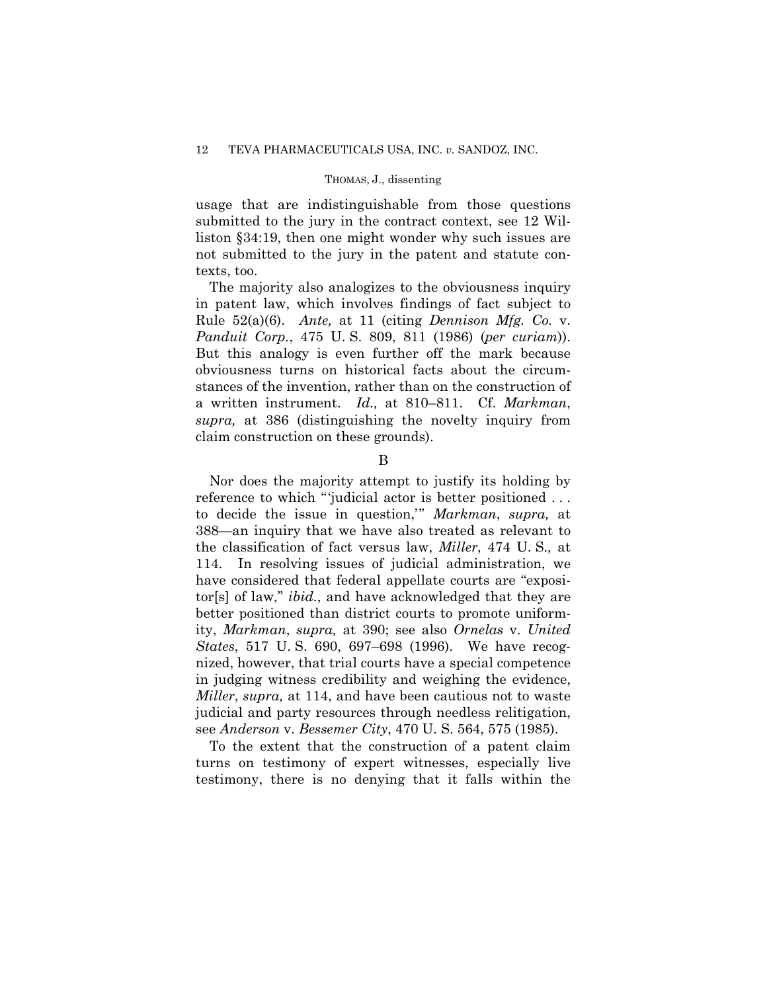usage that are indistinguishable from those questions submitted to the jury in the contract context, see 12 Williston §34:19, then one might wonder why such issues are not submitted to the jury in the patent and statute contexts, too.

The majority also analogizes to the obviousness inquiry in patent law, which involves findings of fact subject to Rule 52(a)(6). *Ante,* at 11 (citing *Dennison Mfg. Co.* v. *Panduit Corp.*, 475 U. S. 809, 811 (1986) (*per curiam*)). But this analogy is even further off the mark because obviousness turns on historical facts about the circumstances of the invention, rather than on the construction of a written instrument. *Id.,* at 810–811. Cf. *Markman*, *supra,* at 386 (distinguishing the novelty inquiry from claim construction on these grounds).

B

Nor does the majority attempt to justify its holding by reference to which "'judicial actor is better positioned . . . to decide the issue in question,'" *Markman*, *supra,* at 388—an inquiry that we have also treated as relevant to the classification of fact versus law, *Miller*, 474 U. S.*,* at 114. In resolving issues of judicial administration, we have considered that federal appellate courts are "expositor[s] of law," *ibid.*, and have acknowledged that they are better positioned than district courts to promote uniformity, *Markman*, *supra,* at 390; see also *Ornelas* v. *United States*, 517 U. S. 690, 697–698 (1996). We have recognized, however, that trial courts have a special competence in judging witness credibility and weighing the evidence, *Miller*, *supra,* at 114, and have been cautious not to waste judicial and party resources through needless relitigation, see *Anderson* v. *Bessemer City*, 470 U. S. 564, 575 (1985).

To the extent that the construction of a patent claim turns on testimony of expert witnesses, especially live testimony, there is no denying that it falls within the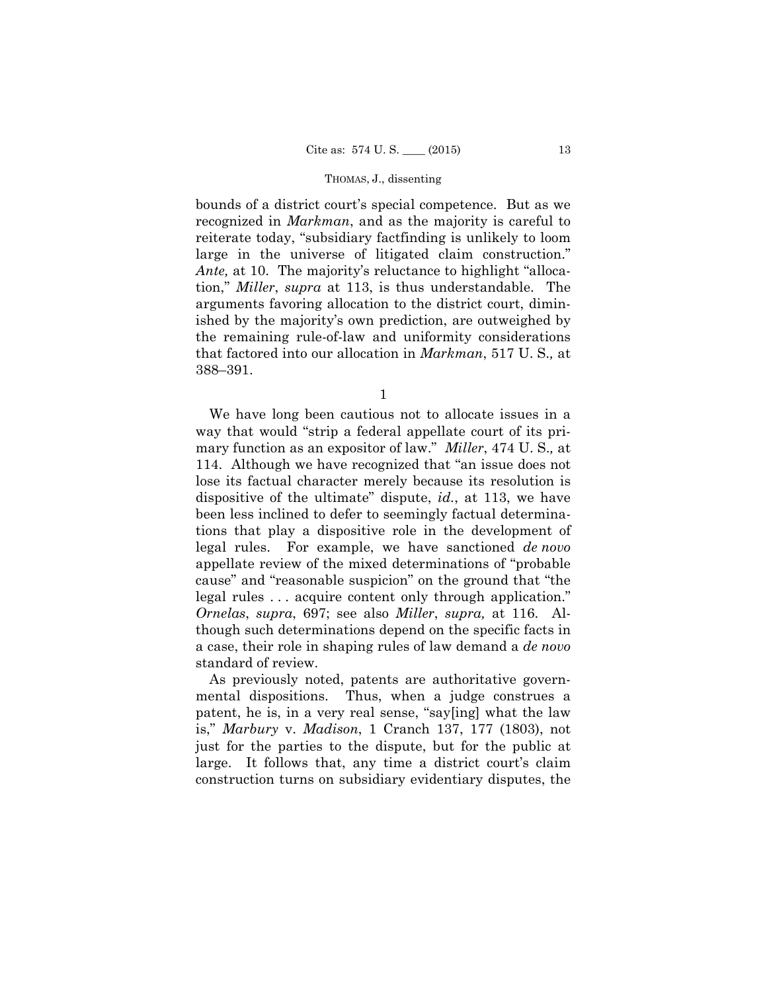bounds of a district court's special competence. But as we recognized in *Markman*, and as the majority is careful to reiterate today, "subsidiary factfinding is unlikely to loom large in the universe of litigated claim construction." *Ante*, at 10. The majority's reluctance to highlight "allocation," *Miller*, *supra* at 113, is thus understandable. The arguments favoring allocation to the district court, diminished by the majority's own prediction, are outweighed by the remaining rule-of-law and uniformity considerations that factored into our allocation in *Markman*, 517 U. S.*,* at 388–391.

1

We have long been cautious not to allocate issues in a way that would "strip a federal appellate court of its primary function as an expositor of law." *Miller*, 474 U. S.*,* at 114. Although we have recognized that "an issue does not lose its factual character merely because its resolution is dispositive of the ultimate" dispute, *id.*, at 113, we have been less inclined to defer to seemingly factual determinations that play a dispositive role in the development of legal rules. For example, we have sanctioned *de novo*  appellate review of the mixed determinations of "probable cause" and "reasonable suspicion" on the ground that "the legal rules . . . acquire content only through application." *Ornelas*, *supra*, 697; see also *Miller*, *supra,* at 116. Although such determinations depend on the specific facts in a case, their role in shaping rules of law demand a *de novo*  standard of review.

As previously noted, patents are authoritative governmental dispositions. Thus, when a judge construes a patent, he is, in a very real sense, "say[ing] what the law is," *Marbury* v. *Madison*, 1 Cranch 137, 177 (1803), not just for the parties to the dispute, but for the public at large. It follows that, any time a district court's claim construction turns on subsidiary evidentiary disputes, the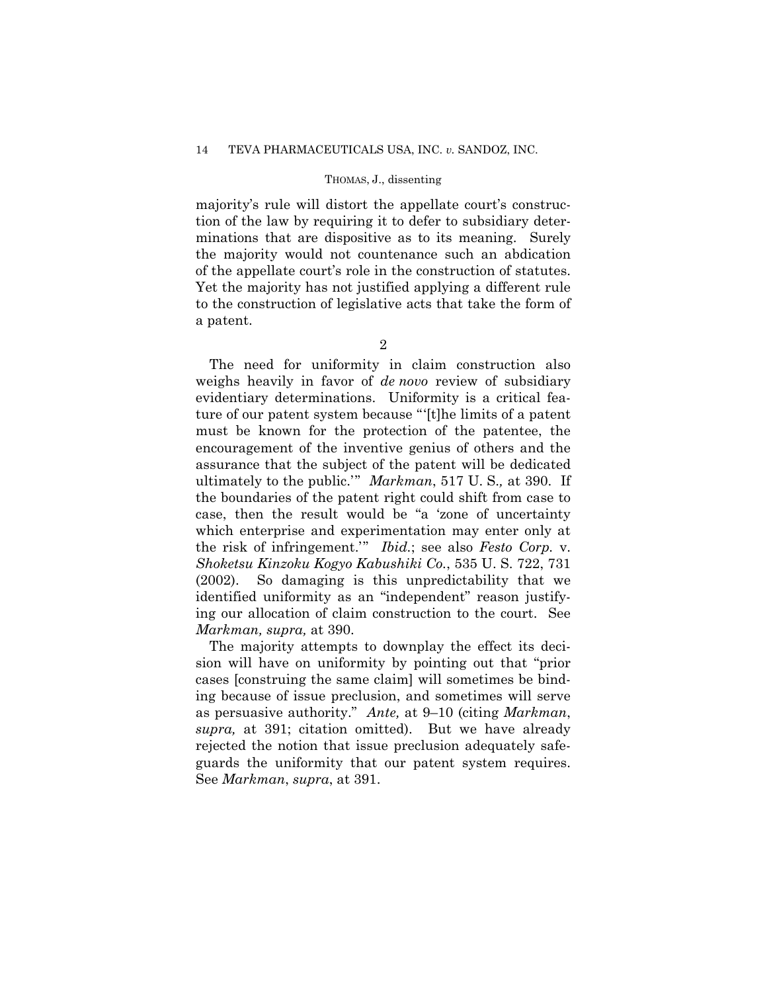majority's rule will distort the appellate court's construction of the law by requiring it to defer to subsidiary determinations that are dispositive as to its meaning. Surely the majority would not countenance such an abdication of the appellate court's role in the construction of statutes. Yet the majority has not justified applying a different rule to the construction of legislative acts that take the form of a patent.

2

The need for uniformity in claim construction also weighs heavily in favor of *de novo* review of subsidiary evidentiary determinations. Uniformity is a critical feature of our patent system because "'[t]he limits of a patent must be known for the protection of the patentee, the encouragement of the inventive genius of others and the assurance that the subject of the patent will be dedicated ultimately to the public.'" *Markman*, 517 U. S.*,* at 390. If the boundaries of the patent right could shift from case to case, then the result would be "a 'zone of uncertainty which enterprise and experimentation may enter only at the risk of infringement.'" *Ibid.*; see also *Festo Corp.* v. *Shoketsu Kinzoku Kogyo Kabushiki Co.*, 535 U. S. 722, 731 (2002). So damaging is this unpredictability that we identified uniformity as an "independent" reason justifying our allocation of claim construction to the court. See *Markman, supra,* at 390.

The majority attempts to downplay the effect its decision will have on uniformity by pointing out that "prior cases [construing the same claim] will sometimes be binding because of issue preclusion, and sometimes will serve as persuasive authority." *Ante,* at 9–10 (citing *Markman*, *supra,* at 391; citation omitted). But we have already rejected the notion that issue preclusion adequately safeguards the uniformity that our patent system requires. See *Markman*, *supra*, at 391.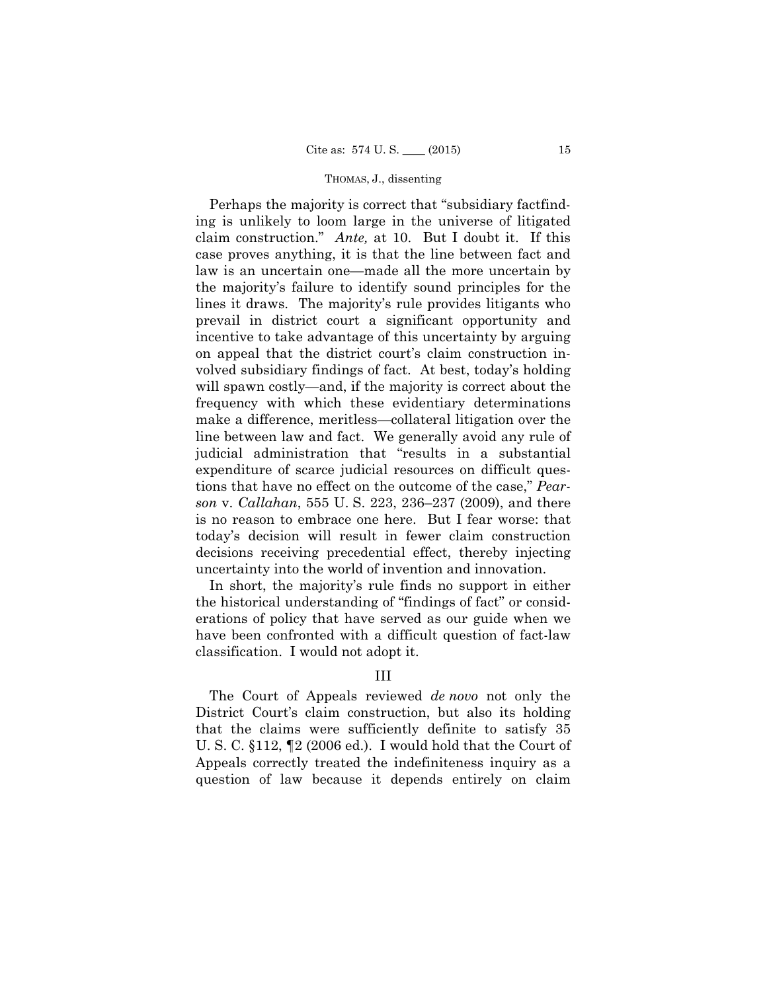Perhaps the majority is correct that "subsidiary factfinding is unlikely to loom large in the universe of litigated claim construction." *Ante,* at 10. But I doubt it. If this case proves anything, it is that the line between fact and law is an uncertain one—made all the more uncertain by the majority's failure to identify sound principles for the lines it draws. The majority's rule provides litigants who prevail in district court a significant opportunity and incentive to take advantage of this uncertainty by arguing on appeal that the district court's claim construction involved subsidiary findings of fact. At best, today's holding will spawn costly—and, if the majority is correct about the frequency with which these evidentiary determinations make a difference, meritless—collateral litigation over the line between law and fact. We generally avoid any rule of judicial administration that "results in a substantial expenditure of scarce judicial resources on difficult questions that have no effect on the outcome of the case," *Pearson* v. *Callahan*, 555 U. S. 223, 236–237 (2009), and there is no reason to embrace one here. But I fear worse: that today's decision will result in fewer claim construction decisions receiving precedential effect, thereby injecting uncertainty into the world of invention and innovation.

In short, the majority's rule finds no support in either the historical understanding of "findings of fact" or considerations of policy that have served as our guide when we have been confronted with a difficult question of fact-law classification. I would not adopt it.

# III

The Court of Appeals reviewed *de novo* not only the District Court's claim construction, but also its holding that the claims were sufficiently definite to satisfy 35 U. S. C. §112, ¶2 (2006 ed.). I would hold that the Court of Appeals correctly treated the indefiniteness inquiry as a question of law because it depends entirely on claim